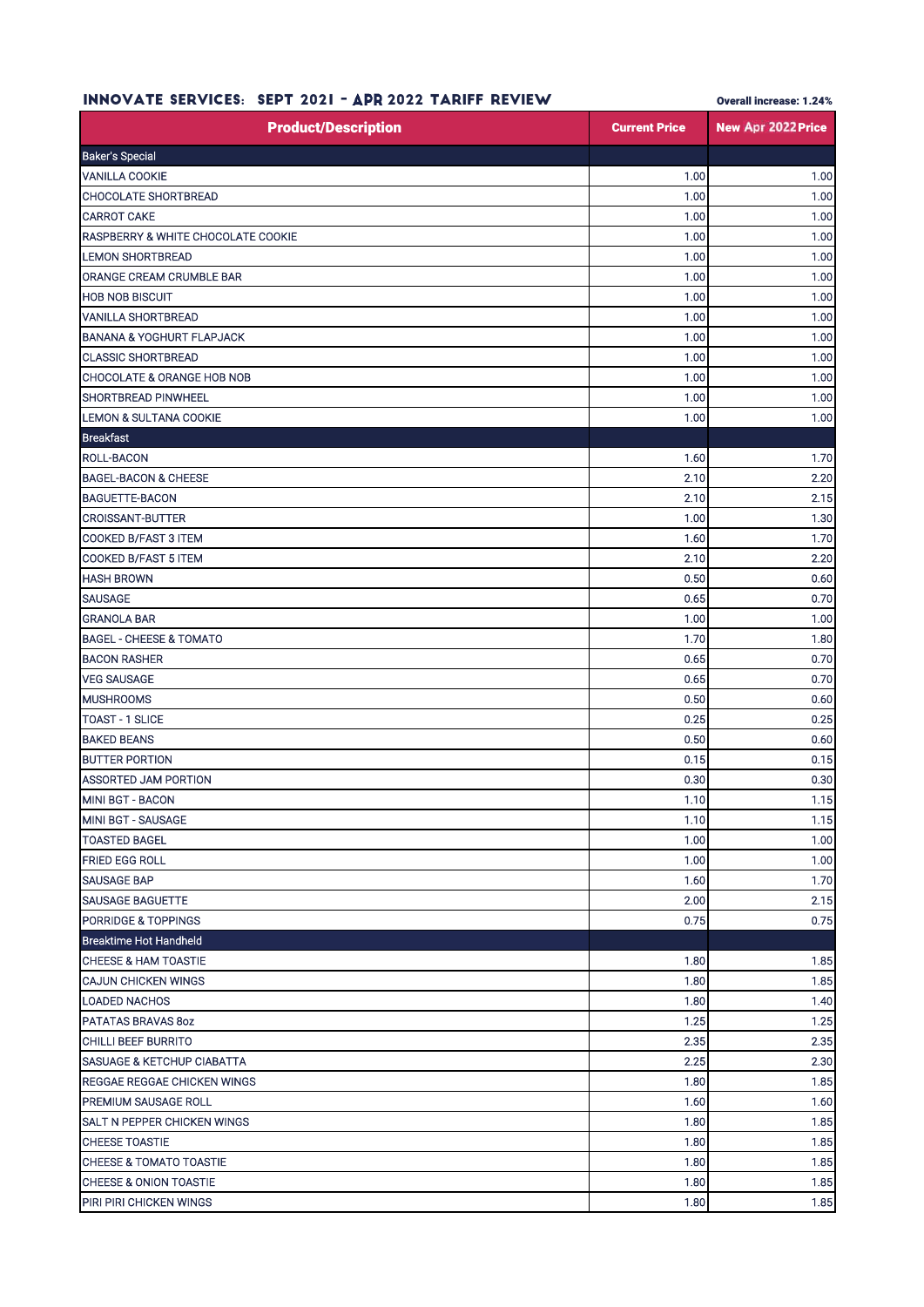| INNUVAIE SERVILES:<br>SEPI ZUZI<br><b>- APR 2022 TARIFF REVIEW</b> |                      | <b>Overall Increase: 1.24%</b> |
|--------------------------------------------------------------------|----------------------|--------------------------------|
| <b>Product/Description</b>                                         | <b>Current Price</b> | New Apr 2022 Price             |
| <b>Baker's Special</b>                                             |                      |                                |
| <b>VANILLA COOKIE</b>                                              | 1.00                 | 1.00                           |
| CHOCOLATE SHORTBREAD                                               | 1.00                 | 1.00                           |
| <b>CARROT CAKE</b>                                                 | 1.00                 | 1.00                           |
| RASPBERRY & WHITE CHOCOLATE COOKIE                                 | 1.00                 | 1.00                           |
| <b>LEMON SHORTBREAD</b>                                            | 1.00                 | 1.00                           |
| ORANGE CREAM CRUMBLE BAR                                           | 1.00                 | 1.00                           |
| <b>HOB NOB BISCUIT</b>                                             | 1.00                 | 1.00                           |
| VANILLA SHORTBREAD                                                 | 1.00                 | 1.00                           |
| <b>BANANA &amp; YOGHURT FLAPJACK</b>                               | 1.00                 | 1.00                           |
| <b>CLASSIC SHORTBREAD</b>                                          | 1.00                 | 1.00                           |
| <b>CHOCOLATE &amp; ORANGE HOB NOB</b>                              | 1.00                 | 1.00                           |
| SHORTBREAD PINWHEEL                                                | 1.00                 | 1.00                           |
| <b>LEMON &amp; SULTANA COOKIE</b>                                  | 1.00                 | 1.00                           |
| <b>Breakfast</b>                                                   |                      |                                |
| ROLL-BACON                                                         | 1.60                 | 1.70                           |
| <b>BAGEL-BACON &amp; CHEESE</b>                                    | 2.10                 | 2.20                           |
| <b>BAGUETTE-BACON</b>                                              | 2.10                 | 2.15                           |
| <b>CROISSANT-BUTTER</b>                                            | 1.00                 | 1.30                           |
| COOKED B/FAST 3 ITEM                                               | 1.60                 | 1.70                           |
| COOKED B/FAST 5 ITEM                                               | 2.10                 | 2.20                           |
| <b>HASH BROWN</b>                                                  | 0.50                 | 0.60                           |
| <b>SAUSAGE</b>                                                     | 0.65                 | 0.70                           |
| <b>GRANOLA BAR</b>                                                 | 1.00                 | 1.00                           |
| <b>BAGEL - CHEESE &amp; TOMATO</b>                                 | 1.70                 | 1.80                           |
| <b>BACON RASHER</b>                                                | 0.65                 | 0.70                           |
| <b>VEG SAUSAGE</b>                                                 | 0.65                 | 0.70                           |
| <b>MUSHROOMS</b>                                                   | 0.50                 | 0.60                           |
| <b>TOAST - 1 SLICE</b>                                             | 0.25                 | 0.25                           |
| <b>BAKED BEANS</b>                                                 | 0.50                 | 0.60                           |
| <b>BUTTER PORTION</b>                                              | 0.15                 | 0.15                           |
| ASSORTED JAM PORTION                                               | 0.30                 | 0.30                           |
| <b>MINI BGT - BACON</b>                                            | 1.10                 | 1.15                           |
| MINI BGT - SAUSAGE                                                 | 1.10                 | 1.15                           |
| <b>TOASTED BAGEL</b>                                               | 1.00                 | 1.00                           |
| FRIED EGG ROLL                                                     | 1.00                 | 1.00                           |
| SAUSAGE BAP                                                        | 1.60                 | 1.70                           |
| <b>SAUSAGE BAGUETTE</b>                                            | 2.00                 | 2.15                           |
| <b>PORRIDGE &amp; TOPPINGS</b>                                     | 0.75                 | 0.75                           |
| Breaktime Hot Handheld                                             |                      |                                |
| <b>CHEESE &amp; HAM TOASTIE</b>                                    | 1.80                 | 1.85                           |
| <b>CAJUN CHICKEN WINGS</b>                                         | 1.80                 | 1.85                           |
| <b>LOADED NACHOS</b>                                               | 1.80                 | 1.40                           |
| PATATAS BRAVAS 8oz                                                 | 1.25                 | 1.25                           |
| CHILLI BEEF BURRITO                                                | 2.35                 | 2.35                           |
| <b>SASUAGE &amp; KETCHUP CIABATTA</b>                              | 2.25                 | 2.30                           |
| REGGAE REGGAE CHICKEN WINGS                                        | 1.80                 | 1.85                           |
| PREMIUM SAUSAGE ROLL                                               | 1.60                 | 1.60                           |
| SALT N PEPPER CHICKEN WINGS                                        | 1.80                 | 1.85                           |
| CHEESE TOASTIE                                                     | 1.80                 | 1.85                           |
| <b>CHEESE &amp; TOMATO TOASTIE</b>                                 | 1.80                 | 1.85                           |
| CHEESE & ONION TOASTIE                                             | 1.80                 | 1.85                           |
| PIRI PIRI CHICKEN WINGS                                            | 1.80                 | 1.85                           |

## INNOVATE SEDVICES: SEDT 2021 - ADD 2022 TADIFF BEVIEW

Overall increase: 1.24%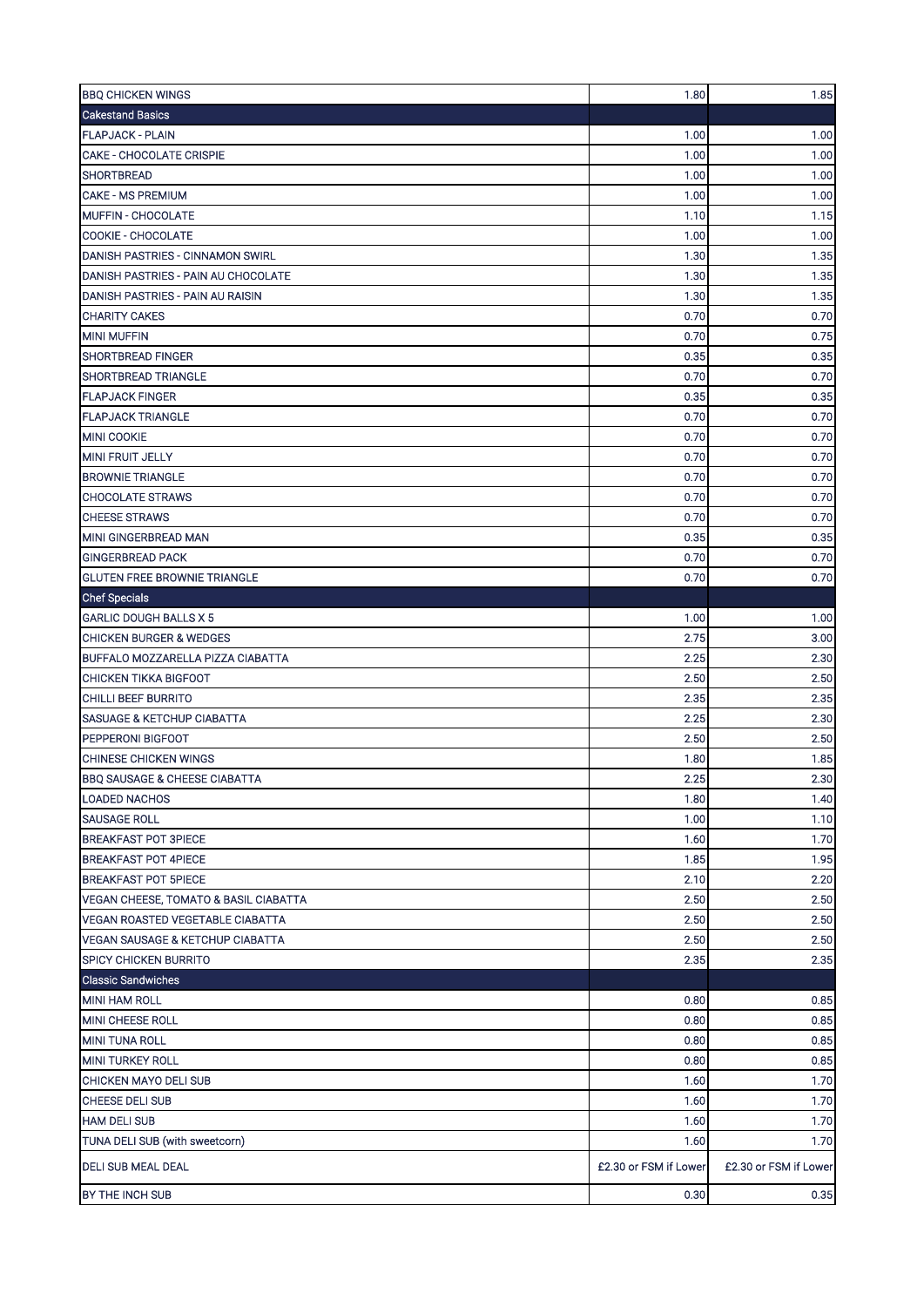| <b>BBQ CHICKEN WINGS</b>                    | 1.80                  | 1.85                  |
|---------------------------------------------|-----------------------|-----------------------|
| <b>Cakestand Basics</b>                     |                       |                       |
| <b>FLAPJACK - PLAIN</b>                     | 1.00                  | 1.00                  |
| <b>CAKE - CHOCOLATE CRISPIE</b>             | 1.00                  | 1.00                  |
| <b>SHORTBREAD</b>                           | 1.00                  | 1.00                  |
| <b>CAKE - MS PREMIUM</b>                    | 1.00                  | 1.00                  |
| MUFFIN - CHOCOLATE                          | 1.10                  | 1.15                  |
| COOKIE - CHOCOLATE                          | 1.00                  | 1.00                  |
| DANISH PASTRIES - CINNAMON SWIRL            | 1.30                  | 1.35                  |
| DANISH PASTRIES - PAIN AU CHOCOLATE         | 1.30                  | 1.35                  |
| DANISH PASTRIES - PAIN AU RAISIN            | 1.30                  | 1.35                  |
| <b>CHARITY CAKES</b>                        | 0.70                  | 0.70                  |
| <b>MINI MUFFIN</b>                          | 0.70                  | 0.75                  |
| <b>SHORTBREAD FINGER</b>                    | 0.35                  | 0.35                  |
| <b>SHORTBREAD TRIANGLE</b>                  | 0.70                  | 0.70                  |
| <b>FLAPJACK FINGER</b>                      | 0.35                  | 0.35                  |
| <b>FLAPJACK TRIANGLE</b>                    | 0.70                  | 0.70                  |
| <b>MINI COOKIE</b>                          | 0.70                  | 0.70                  |
| <b>MINI FRUIT JELLY</b>                     | 0.70                  | 0.70                  |
| <b>BROWNIE TRIANGLE</b>                     | 0.70                  | 0.70                  |
| <b>CHOCOLATE STRAWS</b>                     | 0.70                  | 0.70                  |
| <b>CHEESE STRAWS</b>                        | 0.70                  | 0.70                  |
| MINI GINGERBREAD MAN                        | 0.35                  | 0.35                  |
| <b>GINGERBREAD PACK</b>                     | 0.70                  | 0.70                  |
| <b>GLUTEN FREE BROWNIE TRIANGLE</b>         | 0.70                  | 0.70                  |
| <b>Chef Specials</b>                        |                       |                       |
| <b>GARLIC DOUGH BALLS X 5</b>               | 1.00                  | 1.00                  |
| <b>CHICKEN BURGER &amp; WEDGES</b>          | 2.75                  | 3.00                  |
| BUFFALO MOZZARELLA PIZZA CIABATTA           | 2.25                  | 2.30                  |
| <b>CHICKEN TIKKA BIGFOOT</b>                | 2.50                  | 2.50                  |
| CHILLI BEEF BURRITO                         | 2.35                  | 2.35                  |
| <b>SASUAGE &amp; KETCHUP CIABATTA</b>       | 2.25                  | 2.30                  |
| PEPPERONI BIGFOOT                           | 2.50                  | 2.50                  |
| CHINESE CHICKEN WINGS                       | 1.80                  | 1.85                  |
| <b>BBQ SAUSAGE &amp; CHEESE CIABATTA</b>    | 2.25                  | 2.30                  |
| <b>LOADED NACHOS</b>                        | 1.80                  | 1.40                  |
| <b>SAUSAGE ROLL</b>                         | 1.00                  | 1.10                  |
| <b>BREAKFAST POT 3PIECE</b>                 | 1.60                  | 1.70                  |
| <b>BREAKFAST POT 4PIECE</b>                 | 1.85                  | 1.95                  |
| <b>BREAKFAST POT 5PIECE</b>                 | 2.10                  | 2.20                  |
| VEGAN CHEESE, TOMATO & BASIL CIABATTA       | 2.50                  | 2.50                  |
| <b>VEGAN ROASTED VEGETABLE CIABATTA</b>     | 2.50                  | 2.50                  |
| <b>VEGAN SAUSAGE &amp; KETCHUP CIABATTA</b> | 2.50                  | 2.50                  |
| <b>SPICY CHICKEN BURRITO</b>                | 2.35                  | 2.35                  |
| <b>Classic Sandwiches</b>                   |                       |                       |
| <b>MINI HAM ROLL</b>                        | 0.80                  | 0.85                  |
| MINI CHEESE ROLL                            | 0.80                  | 0.85                  |
| <b>MINI TUNA ROLL</b>                       | 0.80                  | 0.85                  |
| <b>MINI TURKEY ROLL</b>                     | 0.80                  | 0.85                  |
| CHICKEN MAYO DELI SUB                       | 1.60                  | 1.70                  |
| <b>CHEESE DELI SUB</b>                      | 1.60                  | 1.70                  |
| <b>HAM DELI SUB</b>                         | 1.60                  | 1.70                  |
| TUNA DELI SUB (with sweetcorn)              | 1.60                  | 1.70                  |
| DELI SUB MEAL DEAL                          | £2.30 or FSM if Lower | £2.30 or FSM if Lower |
| BY THE INCH SUB                             | 0.30                  | 0.35                  |
|                                             |                       |                       |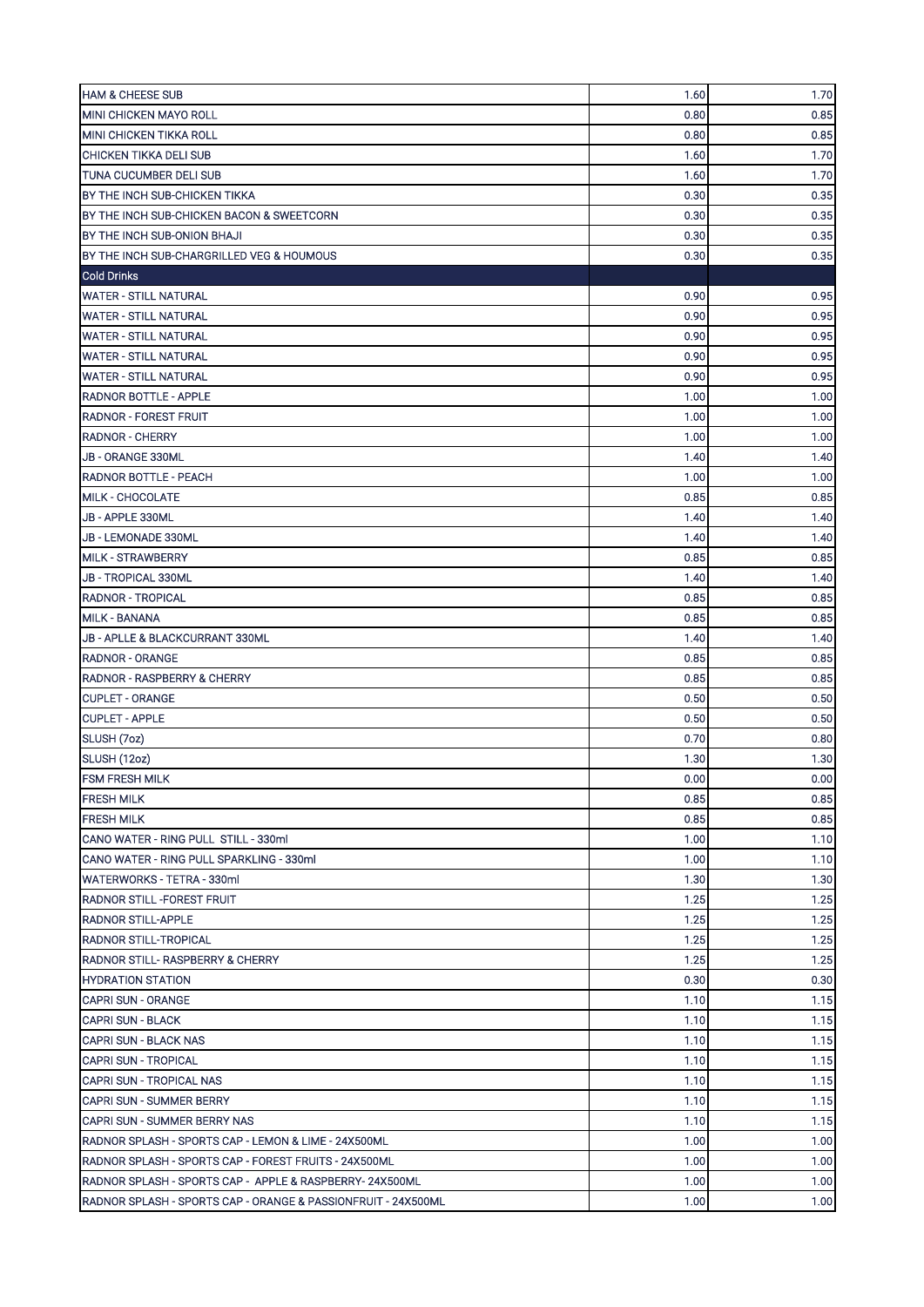| <b>HAM &amp; CHEESE SUB</b>                                   | 1.60 | 1.70     |
|---------------------------------------------------------------|------|----------|
| <b>MINI CHICKEN MAYO ROLL</b>                                 | 0.80 | 0.85     |
| <b>MINI CHICKEN TIKKA ROLL</b>                                | 0.80 | 0.85     |
| <b>CHICKEN TIKKA DELI SUB</b>                                 | 1.60 | 1.70     |
| TUNA CUCUMBER DELI SUB                                        | 1.60 | 1.70     |
| BY THE INCH SUB-CHICKEN TIKKA                                 | 0.30 | 0.35     |
| BY THE INCH SUB-CHICKEN BACON & SWEETCORN                     | 0.30 | 0.35     |
| BY THE INCH SUB-ONION BHAJI                                   | 0.30 | 0.35     |
| BY THE INCH SUB-CHARGRILLED VEG & HOUMOUS                     | 0.30 | 0.35     |
| <b>Cold Drinks</b>                                            |      |          |
| <b>WATER - STILL NATURAL</b>                                  | 0.90 | 0.95     |
| <b>WATER - STILL NATURAL</b>                                  | 0.90 | 0.95     |
| <b>WATER - STILL NATURAL</b>                                  | 0.90 | 0.95     |
| <b>WATER - STILL NATURAL</b>                                  | 0.90 | 0.95     |
| <b>WATER - STILL NATURAL</b>                                  | 0.90 | 0.95     |
| <b>RADNOR BOTTLE - APPLE</b>                                  | 1.00 | 1.00     |
| <b>RADNOR - FOREST FRUIT</b>                                  | 1.00 | 1.00     |
| <b>RADNOR - CHERRY</b>                                        | 1.00 | 1.00     |
| JB - ORANGE 330ML                                             | 1.40 | 1.40     |
| <b>RADNOR BOTTLE - PEACH</b>                                  | 1.00 | 1.00     |
| MILK - CHOCOLATE                                              | 0.85 | 0.85     |
| JB - APPLE 330ML                                              | 1.40 | 1.40     |
| JB - LEMONADE 330ML                                           | 1.40 | 1.40     |
| <b>MILK - STRAWBERRY</b>                                      | 0.85 | 0.85     |
| <b>JB - TROPICAL 330ML</b>                                    | 1.40 | 1.40     |
| <b>RADNOR - TROPICAL</b>                                      | 0.85 | 0.85     |
| <b>MILK - BANANA</b>                                          | 0.85 | 0.85     |
| JB - APLLE & BLACKCURRANT 330ML                               | 1.40 | 1.40     |
| <b>RADNOR - ORANGE</b>                                        | 0.85 | 0.85     |
| <b>RADNOR - RASPBERRY &amp; CHERRY</b>                        | 0.85 | 0.85     |
| <b>CUPLET - ORANGE</b>                                        | 0.50 | 0.50     |
| <b>CUPLET - APPLE</b>                                         | 0.50 | 0.50     |
| SLUSH (7oz)                                                   | 0.70 | 0.80     |
| SLUSH (12oz)                                                  | 1.30 | 1.30     |
| FSM FRESH MILK                                                | 0.00 | $0.00\,$ |
| <b>FRESH MILK</b>                                             | 0.85 | 0.85     |
| <b>FRESH MILK</b>                                             | 0.85 | 0.85     |
| CANO WATER - RING PULL STILL - 330ml                          | 1.00 | 1.10     |
| CANO WATER - RING PULL SPARKLING - 330ml                      | 1.00 | 1.10     |
| WATERWORKS - TETRA - 330ml                                    | 1.30 | 1.30     |
| <b>RADNOR STILL-FOREST FRUIT</b>                              | 1.25 | 1.25     |
| <b>RADNOR STILL-APPLE</b>                                     | 1.25 | 1.25     |
| RADNOR STILL-TROPICAL                                         | 1.25 | 1.25     |
| <b>RADNOR STILL- RASPBERRY &amp; CHERRY</b>                   | 1.25 | 1.25     |
| <b>HYDRATION STATION</b>                                      | 0.30 | 0.30     |
| <b>CAPRI SUN - ORANGE</b>                                     | 1.10 | 1.15     |
| <b>CAPRI SUN - BLACK</b>                                      | 1.10 | 1.15     |
| CAPRI SUN - BLACK NAS                                         | 1.10 | 1.15     |
| <b>CAPRI SUN - TROPICAL</b>                                   | 1.10 | 1.15     |
| CAPRI SUN - TROPICAL NAS                                      | 1.10 | 1.15     |
| <b>CAPRI SUN - SUMMER BERRY</b>                               | 1.10 | 1.15     |
| <b>CAPRI SUN - SUMMER BERRY NAS</b>                           | 1.10 | 1.15     |
| RADNOR SPLASH - SPORTS CAP - LEMON & LIME - 24X500ML          | 1.00 | 1.00     |
| RADNOR SPLASH - SPORTS CAP - FOREST FRUITS - 24X500ML         | 1.00 | 1.00     |
| RADNOR SPLASH - SPORTS CAP - APPLE & RASPBERRY-24X500ML       | 1.00 | 1.00     |
| RADNOR SPLASH - SPORTS CAP - ORANGE & PASSIONFRUIT - 24X500ML | 1.00 | 1.00     |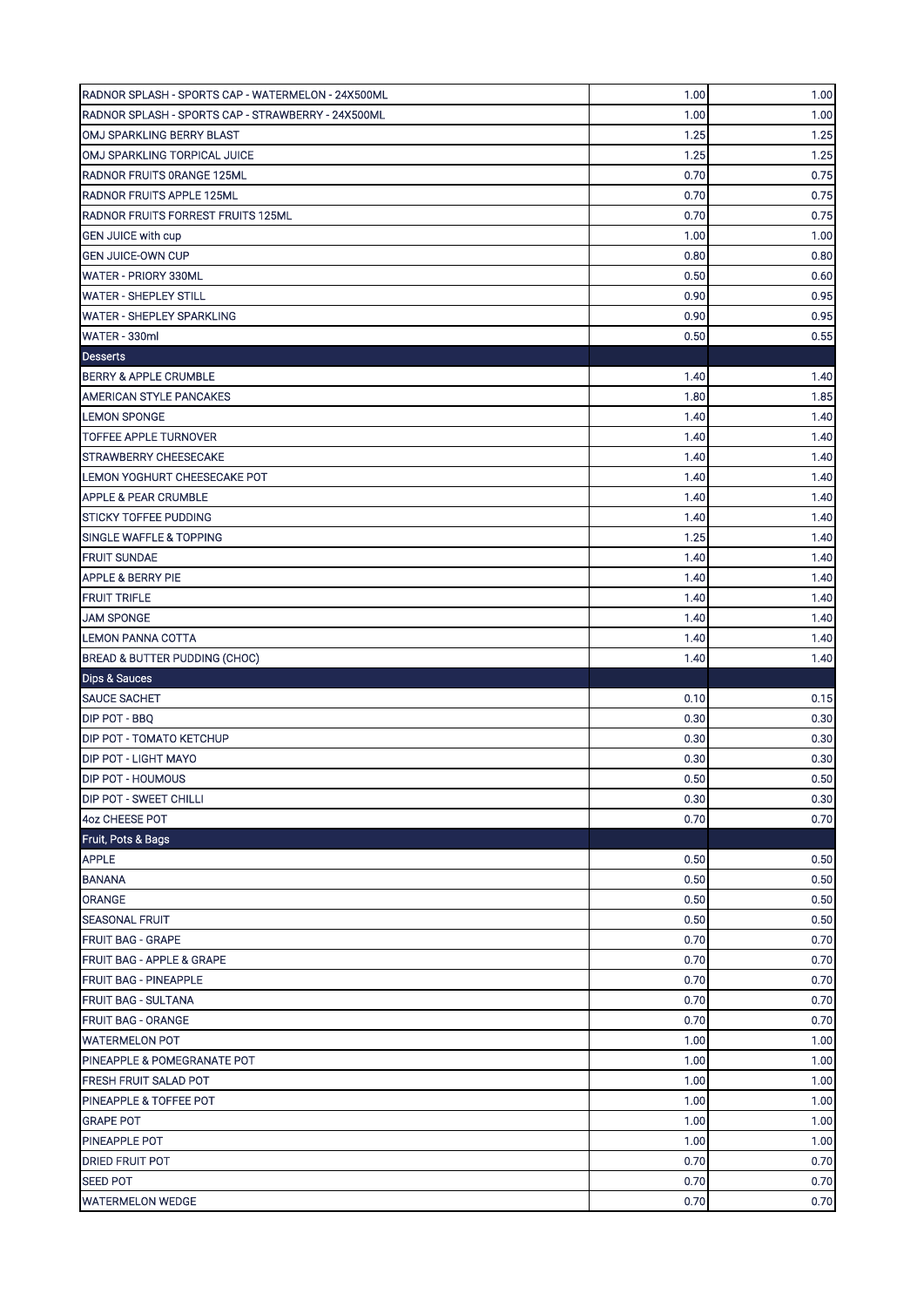| RADNOR SPLASH - SPORTS CAP - WATERMELON - 24X500ML | 1.00 | 1.00                 |
|----------------------------------------------------|------|----------------------|
| RADNOR SPLASH - SPORTS CAP - STRAWBERRY - 24X500ML | 1.00 | 1.00                 |
| OMJ SPARKLING BERRY BLAST                          | 1.25 | 1.25                 |
| OMJ SPARKLING TORPICAL JUICE                       | 1.25 | 1.25                 |
| RADNOR FRUITS ORANGE 125ML                         | 0.70 | 0.75                 |
| <b>RADNOR FRUITS APPLE 125ML</b>                   | 0.70 | 0.75                 |
| RADNOR FRUITS FORREST FRUITS 125ML                 | 0.70 | 0.75                 |
| <b>GEN JUICE with cup</b>                          | 1.00 | 1.00                 |
| <b>GEN JUICE-OWN CUP</b>                           | 0.80 | 0.80                 |
| WATER - PRIORY 330ML                               | 0.50 | 0.60                 |
| <b>WATER - SHEPLEY STILL</b>                       | 0.90 | 0.95                 |
| <b>WATER - SHEPLEY SPARKLING</b>                   | 0.90 | 0.95                 |
| WATER - 330ml                                      | 0.50 | 0.55                 |
| <b>Desserts</b>                                    |      |                      |
| <b>BERRY &amp; APPLE CRUMBLE</b>                   | 1.40 | 1.40                 |
| AMERICAN STYLE PANCAKES                            | 1.80 | 1.85                 |
| <b>LEMON SPONGE</b>                                | 1.40 | 1.40                 |
| <b>TOFFEE APPLE TURNOVER</b>                       | 1.40 | 1.40                 |
| STRAWBERRY CHEESECAKE                              | 1.40 | 1.40                 |
| LEMON YOGHURT CHEESECAKE POT                       | 1.40 | 1.40                 |
| <b>APPLE &amp; PEAR CRUMBLE</b>                    | 1.40 | 1.40                 |
| <b>STICKY TOFFEE PUDDING</b>                       | 1.40 | 1.40                 |
| <b>SINGLE WAFFLE &amp; TOPPING</b>                 | 1.25 | 1.40                 |
| <b>FRUIT SUNDAE</b>                                | 1.40 | 1.40                 |
| <b>APPLE &amp; BERRY PIE</b>                       | 1.40 | 1.40                 |
| <b>FRUIT TRIFLE</b>                                | 1.40 | 1.40                 |
| <b>JAM SPONGE</b>                                  | 1.40 | 1.40                 |
| <b>LEMON PANNA COTTA</b>                           | 1.40 | 1.40                 |
|                                                    |      |                      |
| BREAD & BUTTER PUDDING (CHOC)                      | 1.40 | 1.40                 |
| <b>Dips &amp; Sauces</b>                           |      |                      |
| <b>SAUCE SACHET</b>                                | 0.10 | 0.15                 |
| DIP POT - BBQ                                      | 0.30 | 0.30                 |
| DIP POT - TOMATO KETCHUP                           | 0.30 | 0.30                 |
| DIP POT - LIGHT MAYO                               | 0.30 | 0.30                 |
| DIP POT - HOUMOUS                                  | 0.50 |                      |
| <b>DIP POT - SWEET CHILLI</b>                      | 0.30 |                      |
| 4oz CHEESE POT                                     | 0.70 | 0.70                 |
| Fruit, Pots & Bags                                 |      |                      |
| <b>APPLE</b>                                       | 0.50 | 0.50                 |
| <b>BANANA</b>                                      | 0.50 | 0.50                 |
| <b>ORANGE</b>                                      | 0.50 | 0.50<br>0.30<br>0.50 |
| <b>SEASONAL FRUIT</b>                              | 0.50 | 0.50                 |
| <b>FRUIT BAG - GRAPE</b>                           | 0.70 | 0.70                 |
| <b>FRUIT BAG - APPLE &amp; GRAPE</b>               | 0.70 | 0.70                 |
| <b>FRUIT BAG - PINEAPPLE</b>                       | 0.70 | 0.70                 |
| <b>FRUIT BAG - SULTANA</b>                         | 0.70 | 0.70                 |
| <b>FRUIT BAG - ORANGE</b>                          | 0.70 | 0.70                 |
| <b>WATERMELON POT</b>                              | 1.00 | 1.00                 |
| PINEAPPLE & POMEGRANATE POT                        | 1.00 | 1.00                 |
| <b>FRESH FRUIT SALAD POT</b>                       | 1.00 | 1.00                 |
| <b>PINEAPPLE &amp; TOFFEE POT</b>                  | 1.00 | 1.00                 |
| <b>GRAPE POT</b>                                   | 1.00 | 1.00                 |
| PINEAPPLE POT                                      | 1.00 | 1.00                 |
| <b>DRIED FRUIT POT</b>                             | 0.70 | 0.70                 |
| <b>SEED POT</b>                                    | 0.70 | 0.70                 |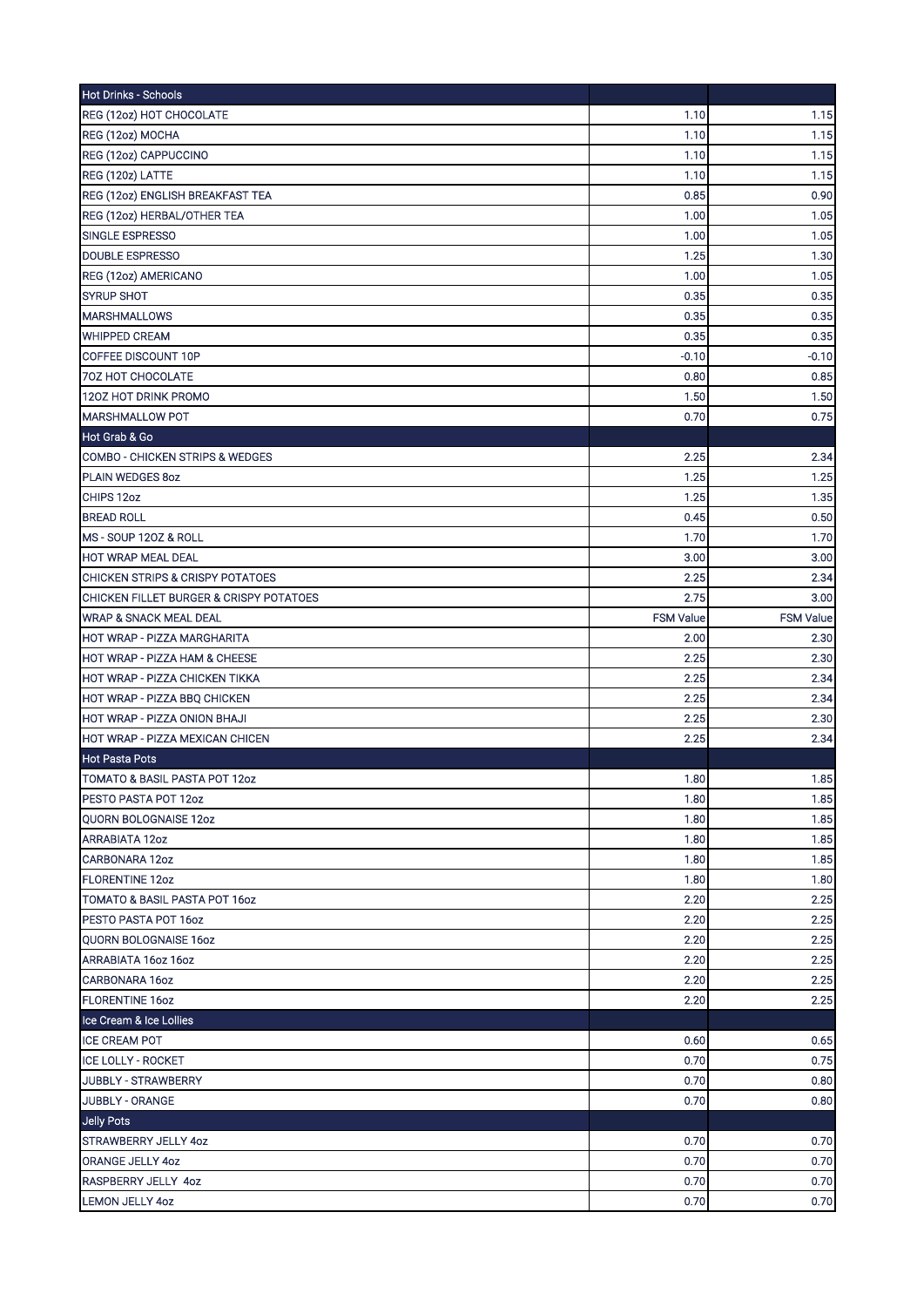| Hot Drinks - Schools                        |                  |                  |
|---------------------------------------------|------------------|------------------|
| REG (12oz) HOT CHOCOLATE                    | 1.10             | 1.15             |
| REG (12oz) MOCHA                            | 1.10             | 1.15             |
| REG (12oz) CAPPUCCINO                       | 1.10             | 1.15             |
| REG (120z) LATTE                            | 1.10             | 1.15             |
| REG (12oz) ENGLISH BREAKFAST TEA            | 0.85             | 0.90             |
| REG (12oz) HERBAL/OTHER TEA                 | 1.00             | 1.05             |
| <b>SINGLE ESPRESSO</b>                      | 1.00             | 1.05             |
| <b>DOUBLE ESPRESSO</b>                      | 1.25             | 1.30             |
| REG (12oz) AMERICANO                        | 1.00             | 1.05             |
| <b>SYRUP SHOT</b>                           | 0.35             | 0.35             |
| <b>MARSHMALLOWS</b>                         | 0.35             | 0.35             |
| <b>WHIPPED CREAM</b>                        | 0.35             | 0.35             |
| COFFEE DISCOUNT 10P                         | $-0.10$          | -0.10            |
| 70Z HOT CHOCOLATE                           | 0.80             | 0.85             |
| 120Z HOT DRINK PROMO                        | 1.50             | 1.50             |
| MARSHMALLOW POT                             | 0.70             | 0.75             |
| Hot Grab & Go                               |                  |                  |
| COMBO - CHICKEN STRIPS & WEDGES             | 2.25             | 2.34             |
| PLAIN WEDGES 8oz                            | 1.25             | 1.25             |
| CHIPS 12oz                                  | 1.25             | 1.35             |
| <b>BREAD ROLL</b>                           | 0.45             | 0.50             |
| MS - SOUP 120Z & ROLL                       | 1.70             | 1.70             |
| HOT WRAP MEAL DEAL                          | 3.00             | 3.00             |
| <b>CHICKEN STRIPS &amp; CRISPY POTATOES</b> | 2.25             | 2.34             |
| CHICKEN FILLET BURGER & CRISPY POTATOES     | 2.75             | 3.00             |
| <b>WRAP &amp; SNACK MEAL DEAL</b>           | <b>FSM Value</b> | <b>FSM Value</b> |
| HOT WRAP - PIZZA MARGHARITA                 | 2.00             | 2.30             |
| HOT WRAP - PIZZA HAM & CHEESE               | 2.25             | 2.30             |
| HOT WRAP - PIZZA CHICKEN TIKKA              | 2.25             | 2.34             |
| HOT WRAP - PIZZA BBQ CHICKEN                | 2.25             | 2.34             |
| HOT WRAP - PIZZA ONION BHAJI                | 2.25             | 2.30             |
| HOT WRAP - PIZZA MEXICAN CHICEN             | 2.25             | 2.34             |
| <b>Hot Pasta Pots</b>                       |                  |                  |
| TOMATO & BASIL PASTA POT 12oz               | 1.80             | 1.85             |
| PESTO PASTA POT 12oz                        | 1.80             | 1.85             |
| <b>QUORN BOLOGNAISE 12oz</b>                | 1.80             | 1.85             |
| <b>ARRABIATA 12oz</b>                       | 1.80             | 1.85             |
| CARBONARA 12oz                              | 1.80             | 1.85             |
| <b>FLORENTINE 12oz</b>                      | 1.80             | 1.80             |
| TOMATO & BASIL PASTA POT 16oz               | 2.20             | 2.25             |
| PESTO PASTA POT 16oz                        | 2.20             | 2.25             |
| QUORN BOLOGNAISE 16oz                       | 2.20             | 2.25             |
| ARRABIATA 160Z 160Z                         | 2.20             | 2.25             |
| CARBONARA 16oz                              | 2.20             | 2.25             |
| <b>FLORENTINE 16oz</b>                      | 2.20             | 2.25             |
| Ice Cream & Ice Lollies                     |                  |                  |
| <b>ICE CREAM POT</b>                        | 0.60             | 0.65             |
| <b>ICE LOLLY - ROCKET</b>                   | 0.70             | 0.75             |
| JUBBLY - STRAWBERRY                         | 0.70             | 0.80             |
| JUBBLY - ORANGE                             | 0.70             | 0.80             |
| Jelly Pots                                  |                  |                  |
| <b>STRAWBERRY JELLY 4oz</b>                 | 0.70             | 0.70             |
| ORANGE JELLY 4oz                            | 0.70             | 0.70             |
| RASPBERRY JELLY 4oz                         | 0.70             | 0.70             |
| LEMON JELLY 4oz                             | 0.70             | 0.70             |
|                                             |                  |                  |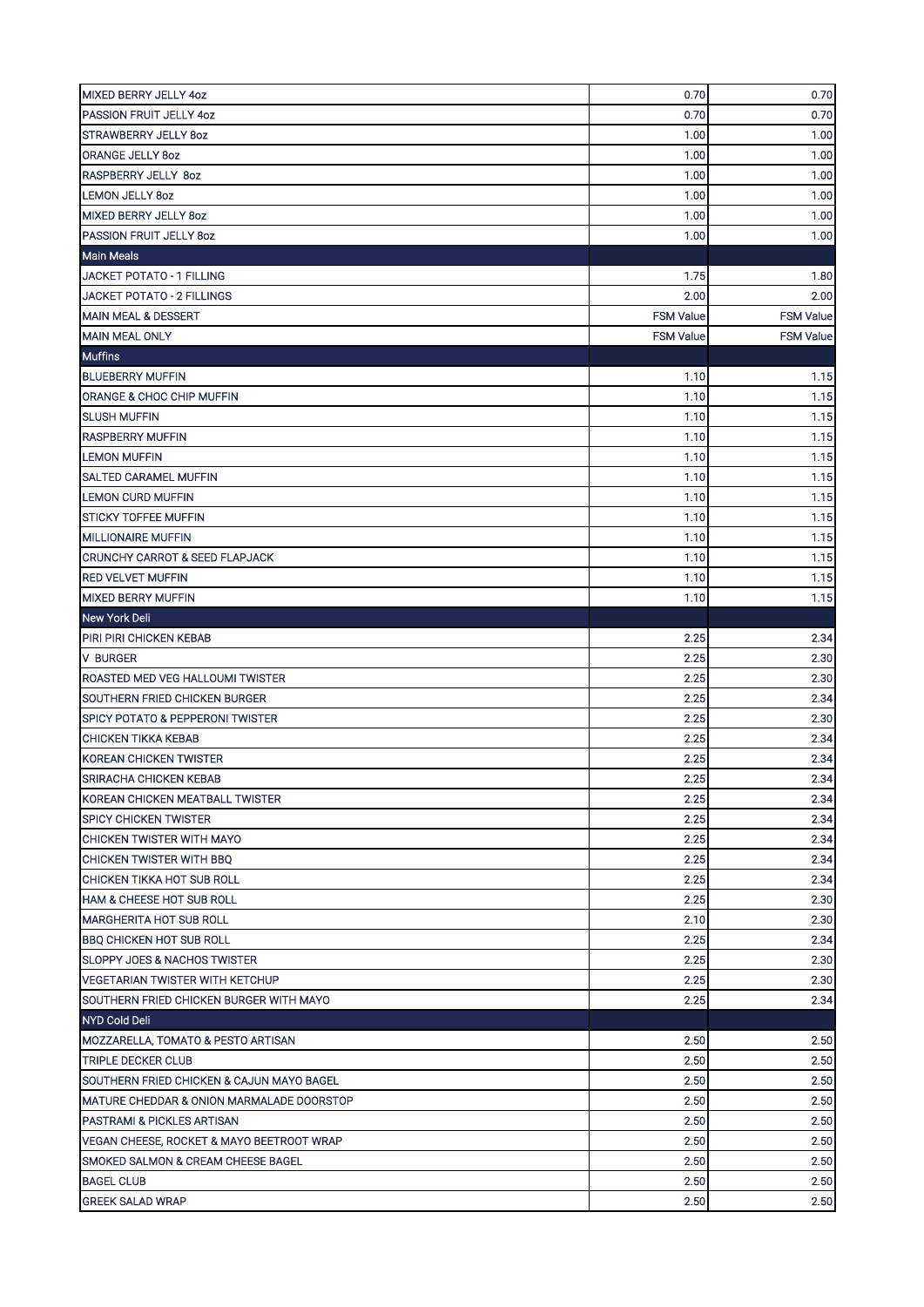| MIXED BERRY JELLY 4oz                       | 0.70             | 0.70             |
|---------------------------------------------|------------------|------------------|
| <b>PASSION FRUIT JELLY 4oz</b>              | 0.70             | 0.70             |
| <b>STRAWBERRY JELLY 80Z</b>                 | 1.00             | 1.00             |
| ORANGE JELLY 8oz                            | 1.00             | 1.00             |
| <b>RASPBERRY JELLY 80Z</b>                  | 1.00             | 1.00             |
| <b>LEMON JELLY 80Z</b>                      | 1.00             | 1.00             |
| MIXED BERRY JELLY 80Z                       | 1.00             | 1.00             |
| PASSION FRUIT JELLY 80Z                     | 1.00             | 1.00             |
| <b>Main Meals</b>                           |                  |                  |
| JACKET POTATO - 1 FILLING                   | 1.75             | 1.80             |
| JACKET POTATO - 2 FILLINGS                  | 2.00             | 2.00             |
| <b>MAIN MEAL &amp; DESSERT</b>              | <b>FSM Value</b> | <b>FSM Value</b> |
| <b>MAIN MEAL ONLY</b>                       | <b>FSM Value</b> | <b>FSM Value</b> |
| <b>Muffins</b>                              |                  |                  |
| <b>BLUEBERRY MUFFIN</b>                     | 1.10             | 1.15             |
| ORANGE & CHOC CHIP MUFFIN                   | 1.10             | 1.15             |
| <b>SLUSH MUFFIN</b>                         | 1.10             | 1.15             |
| <b>RASPBERRY MUFFIN</b>                     | 1.10             | 1.15             |
| <b>LEMON MUFFIN</b>                         | 1.10             | 1.15             |
| <b>SALTED CARAMEL MUFFIN</b>                | 1.10             | 1.15             |
| <b>LEMON CURD MUFFIN</b>                    | 1.10             | 1.15             |
| <b>STICKY TOFFEE MUFFIN</b>                 | 1.10             | 1.15             |
| <b>MILLIONAIRE MUFFIN</b>                   | 1.10             | 1.15             |
| <b>CRUNCHY CARROT &amp; SEED FLAPJACK</b>   | 1.10             | 1.15             |
| <b>RED VELVET MUFFIN</b>                    | 1.10             | 1.15             |
| <b>MIXED BERRY MUFFIN</b>                   | 1.10             | 1.15             |
| <b>New York Deli</b>                        |                  |                  |
| PIRI PIRI CHICKEN KEBAB                     | 2.25             | 2.34             |
| <b>V BURGER</b>                             | 2.25             | 2.30             |
| ROASTED MED VEG HALLOUMI TWISTER            | 2.25             | 2.30             |
| SOUTHERN FRIED CHICKEN BURGER               | 2.25             | 2.34             |
| <b>SPICY POTATO &amp; PEPPERONI TWISTER</b> | 2.25             | 2.30             |
| <b>CHICKEN TIKKA KEBAB</b>                  | 2.25             | 2.34             |
| <b>KOREAN CHICKEN TWISTER</b>               | 2.25             | 2.34             |
| SRIRACHA CHICKEN KEBAB                      | 2.25             | 2.34             |
| KOREAN CHICKEN MEATBALL TWISTER             | 2.25             | 2.34             |
| <b>SPICY CHICKEN TWISTER</b>                | 2.25             | 2.34             |
| CHICKEN TWISTER WITH MAYO                   | 2.25             | 2.34             |
| CHICKEN TWISTER WITH BBQ                    | 2.25             | 2.34             |
| CHICKEN TIKKA HOT SUB ROLL                  | 2.25             | 2.34             |
| <b>HAM &amp; CHEESE HOT SUB ROLL</b>        | 2.25             | 2.30             |
| <b>MARGHERITA HOT SUB ROLL</b>              | 2.10             | 2.30             |
| <b>BBQ CHICKEN HOT SUB ROLL</b>             | 2.25             | 2.34             |
| <b>SLOPPY JOES &amp; NACHOS TWISTER</b>     | 2.25             | 2.30             |
| <b>VEGETARIAN TWISTER WITH KETCHUP</b>      | 2.25             | 2.30             |
| SOUTHERN FRIED CHICKEN BURGER WITH MAYO     | 2.25             | 2.34             |
| NYD Cold Deli                               |                  |                  |
| MOZZARELLA, TOMATO & PESTO ARTISAN          | 2.50             | 2.50             |
| <b>TRIPLE DECKER CLUB</b>                   | 2.50             | 2.50             |
| SOUTHERN FRIED CHICKEN & CAJUN MAYO BAGEL   | 2.50             | 2.50             |
| MATURE CHEDDAR & ONION MARMALADE DOORSTOP   | 2.50             | 2.50             |
| <b>PASTRAMI &amp; PICKLES ARTISAN</b>       | 2.50             | 2.50             |
| VEGAN CHEESE, ROCKET & MAYO BEETROOT WRAP   | 2.50             | 2.50             |
| SMOKED SALMON & CREAM CHEESE BAGEL          | 2.50             | 2.50             |
| <b>BAGEL CLUB</b>                           | 2.50             | 2.50             |
| <b>GREEK SALAD WRAP</b>                     | 2.50             | 2.50             |
|                                             |                  |                  |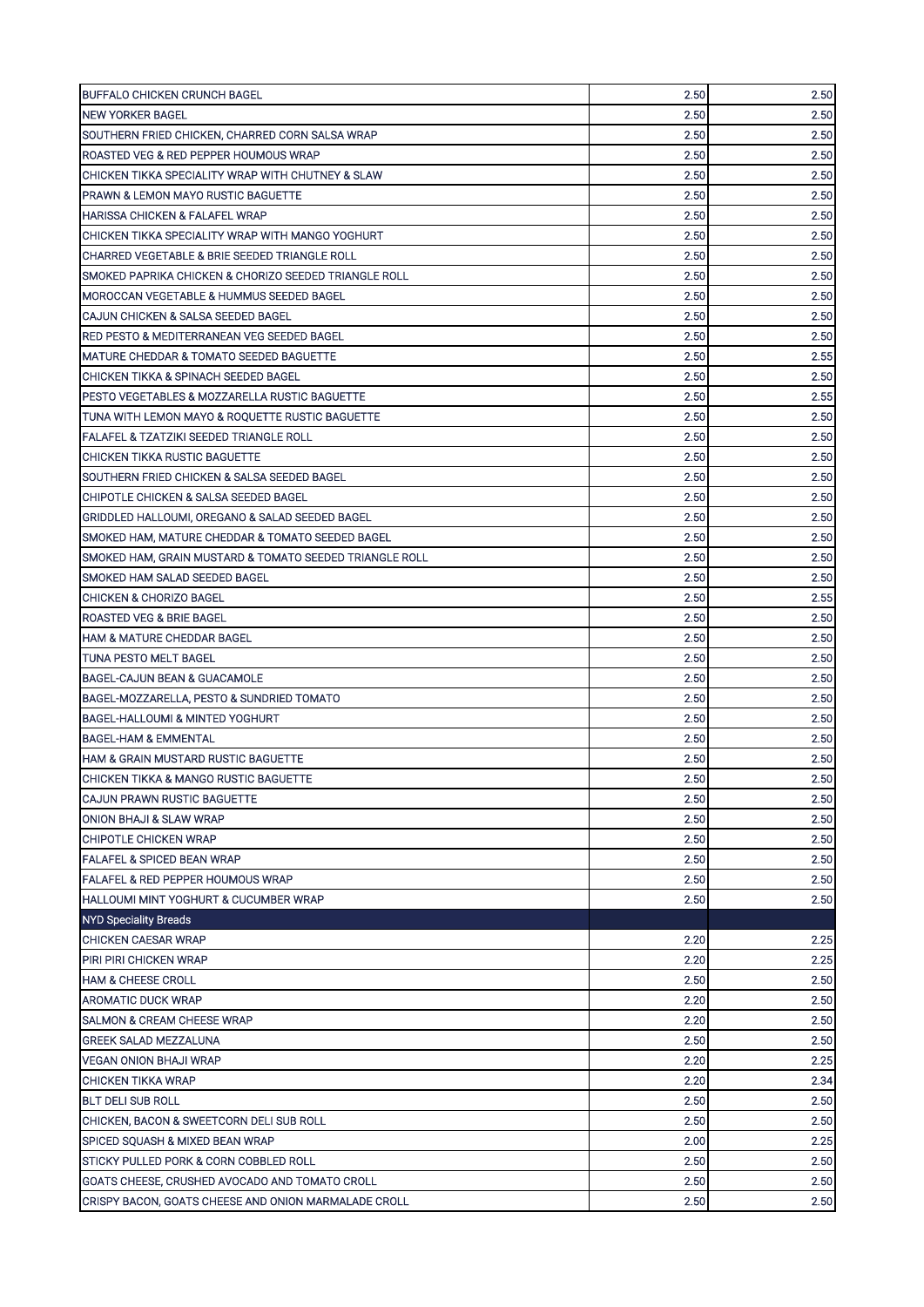| BUFFALO CHICKEN CRUNCH BAGEL                               | 2.50         | 2.50         |
|------------------------------------------------------------|--------------|--------------|
| <b>NEW YORKER BAGEL</b>                                    | 2.50         | 2.50         |
| SOUTHERN FRIED CHICKEN, CHARRED CORN SALSA WRAP            | 2.50         | 2.50         |
| ROASTED VEG & RED PEPPER HOUMOUS WRAP                      | 2.50         | 2.50         |
| CHICKEN TIKKA SPECIALITY WRAP WITH CHUTNEY & SLAW          | 2.50         | 2.50         |
| PRAWN & LEMON MAYO RUSTIC BAGUETTE                         | 2.50         | 2.50         |
| <b>HARISSA CHICKEN &amp; FALAFEL WRAP</b>                  | 2.50         | 2.50         |
| CHICKEN TIKKA SPECIALITY WRAP WITH MANGO YOGHURT           | 2.50         | 2.50         |
| CHARRED VEGETABLE & BRIE SEEDED TRIANGLE ROLL              | 2.50         | 2.50         |
| SMOKED PAPRIKA CHICKEN & CHORIZO SEEDED TRIANGLE ROLL      | 2.50         | 2.50         |
| MOROCCAN VEGETABLE & HUMMUS SEEDED BAGEL                   | 2.50         | 2.50         |
| CAJUN CHICKEN & SALSA SEEDED BAGEL                         | 2.50         | 2.50         |
| RED PESTO & MEDITERRANEAN VEG SEEDED BAGEL                 | 2.50         | 2.50         |
| MATURE CHEDDAR & TOMATO SEEDED BAGUETTE                    | 2.50         | 2.55         |
| <b>CHICKEN TIKKA &amp; SPINACH SEEDED BAGEL</b>            | 2.50         | 2.50         |
| PESTO VEGETABLES & MOZZARELLA RUSTIC BAGUETTE              | 2.50         | 2.55         |
| TUNA WITH LEMON MAYO & ROQUETTE RUSTIC BAGUETTE            | 2.50         | 2.50         |
| FALAFEL & TZATZIKI SEEDED TRIANGLE ROLL                    | 2.50         | 2.50         |
| <b>CHICKEN TIKKA RUSTIC BAGUETTE</b>                       | 2.50         | 2.50         |
| SOUTHERN FRIED CHICKEN & SALSA SEEDED BAGEL                | 2.50         | 2.50         |
| ICHIPOTLE CHICKEN & SALSA SEEDED BAGEL                     | 2.50         | 2.50         |
| GRIDDLED HALLOUMI, OREGANO & SALAD SEEDED BAGEL            | 2.50         | 2.50         |
| SMOKED HAM, MATURE CHEDDAR & TOMATO SEEDED BAGEL           | 2.50         | 2.50         |
| SMOKED HAM, GRAIN MUSTARD & TOMATO SEEDED TRIANGLE ROLL    | 2.50         | 2.50         |
| SMOKED HAM SALAD SEEDED BAGEL                              | 2.50         | 2.50         |
| ICHICKEN & CHORIZO BAGEL                                   | 2.50         | 2.55         |
| IROASTED VEG & BRIE BAGEL                                  | 2.50         | 2.50         |
| <b>HAM &amp; MATURE CHEDDAR BAGEL</b>                      | 2.50         | 2.50         |
| <b>TUNA PESTO MELT BAGEL</b>                               | 2.50         | 2.50         |
| BAGEL-CAJUN BEAN & GUACAMOLE                               | 2.50         | 2.50         |
| BAGEL-MOZZARELLA, PESTO & SUNDRIED TOMATO                  | 2.50         | 2.50         |
| <b>BAGEL-HALLOUMI &amp; MINTED YOGHURT</b>                 | 2.50         | 2.50         |
| <b>BAGEL-HAM &amp; EMMENTAL</b>                            | 2.50         | 2.50         |
| HAM & GRAIN MUSTARD RUSTIC BAGUETTE                        | 2.50         | 2.50         |
| CHICKEN TIKKA & MANGO RUSTIC BAGUETTE                      | 2.50         | $2.50\,$     |
| CAJUN PRAWN RUSTIC BAGUETTE                                | 2.50         | 2.50         |
| ONION BHAJI & SLAW WRAP                                    | 2.50         | 2.50         |
| CHIPOTLE CHICKEN WRAP                                      | 2.50         | 2.50         |
| <b>FALAFEL &amp; SPICED BEAN WRAP</b>                      | 2.50         | 2.50         |
| FALAFEL & RED PEPPER HOUMOUS WRAP                          | 2.50         | 2.50         |
| HALLOUMI MINT YOGHURT & CUCUMBER WRAP                      | 2.50         | 2.50         |
|                                                            |              |              |
| <b>NYD Speciality Breads</b>                               |              |              |
| CHICKEN CAESAR WRAP                                        | 2.20<br>2.20 | 2.25         |
| PIRI PIRI CHICKEN WRAP                                     | 2.50         | 2.25<br>2.50 |
| <b>HAM &amp; CHEESE CROLL</b><br><b>AROMATIC DUCK WRAP</b> | 2.20         | 2.50         |
|                                                            | 2.20         |              |
| <b>SALMON &amp; CREAM CHEESE WRAP</b>                      |              | 2.50         |
| <b>GREEK SALAD MEZZALUNA</b>                               | 2.50         | 2.50         |
| VEGAN ONION BHAJI WRAP                                     | 2.20         | 2.25         |
| CHICKEN TIKKA WRAP                                         | 2.20         | 2.34         |
| <b>BLT DELI SUB ROLL</b>                                   | 2.50         | 2.50         |
| CHICKEN, BACON & SWEETCORN DELI SUB ROLL                   | 2.50         | 2.50         |
| SPICED SQUASH & MIXED BEAN WRAP                            | 2.00         | 2.25         |
| STICKY PULLED PORK & CORN COBBLED ROLL                     | 2.50         | 2.50         |
| GOATS CHEESE, CRUSHED AVOCADO AND TOMATO CROLL             | 2.50         | 2.50         |
| CRISPY BACON, GOATS CHEESE AND ONION MARMALADE CROLL       | 2.50         | 2.50         |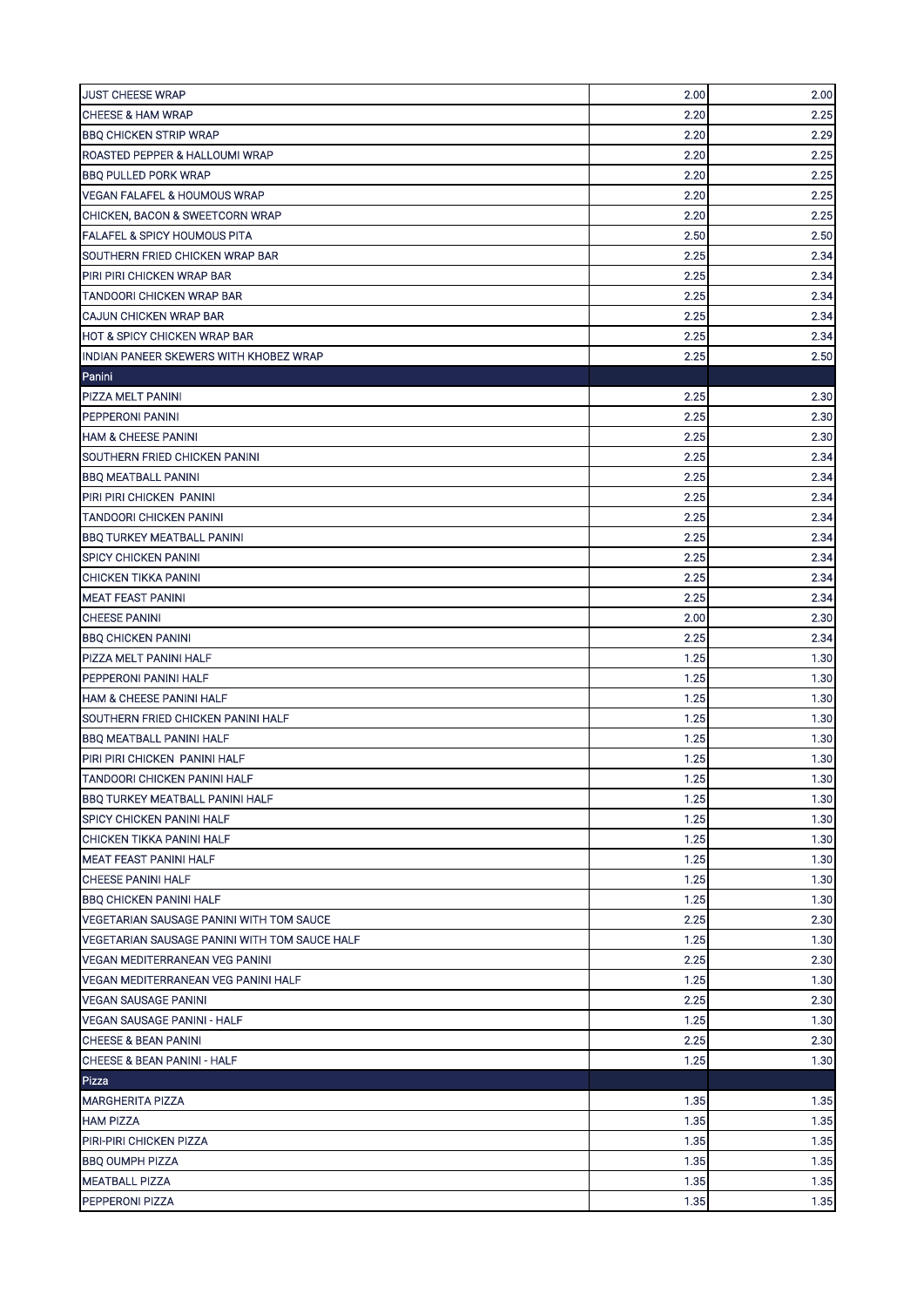| <b>JUST CHEESE WRAP</b>                       | 2.00 | 2.00   |
|-----------------------------------------------|------|--------|
| <b>CHEESE &amp; HAM WRAP</b>                  | 2.20 | 2.25   |
| <b>BBQ CHICKEN STRIP WRAP</b>                 | 2.20 | 2.29   |
| ROASTED PEPPER & HALLOUMI WRAP                | 2.20 | 2.25   |
| <b>BBQ PULLED PORK WRAP</b>                   | 2.20 | 2.25   |
| <b>VEGAN FALAFEL &amp; HOUMOUS WRAP</b>       | 2.20 | 2.25   |
| CHICKEN, BACON & SWEETCORN WRAP               | 2.20 | 2.25   |
| <b>FALAFEL &amp; SPICY HOUMOUS PITA</b>       | 2.50 | 2.50   |
| SOUTHERN FRIED CHICKEN WRAP BAR               | 2.25 | 2.34   |
| PIRI PIRI CHICKEN WRAP BAR                    | 2.25 | 2.34   |
| <b>TANDOORI CHICKEN WRAP BAR</b>              | 2.25 | 2.34   |
| CAJUN CHICKEN WRAP BAR                        | 2.25 | 2.34   |
| <b>HOT &amp; SPICY CHICKEN WRAP BAR</b>       | 2.25 | 2.34   |
| INDIAN PANEER SKEWERS WITH KHOBEZ WRAP        | 2.25 | 2.50   |
| Panini                                        |      |        |
| PIZZA MELT PANINI                             | 2.25 | 2.30   |
| PEPPERONI PANINI                              | 2.25 | 2.30   |
| <b>HAM &amp; CHEESE PANINI</b>                | 2.25 | 2.30   |
| SOUTHERN FRIED CHICKEN PANINI                 | 2.25 | 2.34   |
| <b>BBQ MEATBALL PANINI</b>                    | 2.25 | 2.34   |
| PIRI PIRI CHICKEN PANINI                      | 2.25 | 2.34   |
| TANDOORI CHICKEN PANINI                       | 2.25 | 2.34   |
| <b>BBQ TURKEY MEATBALL PANINI</b>             | 2.25 | 2.34   |
| <b>SPICY CHICKEN PANINI</b>                   | 2.25 | 2.34   |
| <b>CHICKEN TIKKA PANINI</b>                   | 2.25 | 2.34   |
| <b>MEAT FEAST PANINI</b>                      | 2.25 | 2.34   |
| <b>CHEESE PANINI</b>                          | 2.00 | 2.30   |
| <b>BBQ CHICKEN PANINI</b>                     | 2.25 | 2.34   |
| PIZZA MELT PANINI HALF                        | 1.25 | 1.30   |
| PEPPERONI PANINI HALF                         | 1.25 | 1.30   |
| <b>HAM &amp; CHEESE PANINI HALF</b>           | 1.25 | 1.30   |
| SOUTHERN FRIED CHICKEN PANINI HALF            | 1.25 | 1.30   |
| <b>BBQ MEATBALL PANINI HALF</b>               | 1.25 | 1.30   |
| PIRI PIRI CHICKEN PANINI HALF                 | 1.25 | 1.30   |
| TANDOORI CHICKEN PANINI HALF                  | 1.25 | $1.30$ |
| <b>BBQ TURKEY MEATBALL PANINI HALF</b>        | 1.25 | 1.30   |
| <b>SPICY CHICKEN PANINI HALF</b>              | 1.25 | 1.30   |
| CHICKEN TIKKA PANINI HALF                     | 1.25 | 1.30   |
| <b>MEAT FEAST PANINI HALF</b>                 | 1.25 | 1.30   |
| <b>CHEESE PANINI HALF</b>                     | 1.25 | 1.30   |
| <b>BBQ CHICKEN PANINI HALF</b>                | 1.25 | 1.30   |
| VEGETARIAN SAUSAGE PANINI WITH TOM SAUCE      | 2.25 | 2.30   |
| VEGETARIAN SAUSAGE PANINI WITH TOM SAUCE HALF | 1.25 | 1.30   |
| <b>VEGAN MEDITERRANEAN VEG PANINI</b>         | 2.25 | 2.30   |
| VEGAN MEDITERRANEAN VEG PANINI HALF           | 1.25 | 1.30   |
| <b>VEGAN SAUSAGE PANINI</b>                   | 2.25 | 2.30   |
| <b>VEGAN SAUSAGE PANINI - HALF</b>            | 1.25 | 1.30   |
| <b>CHEESE &amp; BEAN PANINI</b>               | 2.25 | 2.30   |
| CHEESE & BEAN PANINI - HALF                   | 1.25 | 1.30   |
| Pizza                                         |      |        |
| <b>MARGHERITA PIZZA</b>                       | 1.35 | 1.35   |
| <b>HAM PIZZA</b>                              | 1.35 | 1.35   |
| <b>PIRI-PIRI CHICKEN PIZZA</b>                | 1.35 | 1.35   |
| <b>BBQ OUMPH PIZZA</b>                        | 1.35 | 1.35   |
| <b>MEATBALL PIZZA</b>                         | 1.35 | 1.35   |
| <b>PEPPERONI PIZZA</b>                        | 1.35 | 1.35   |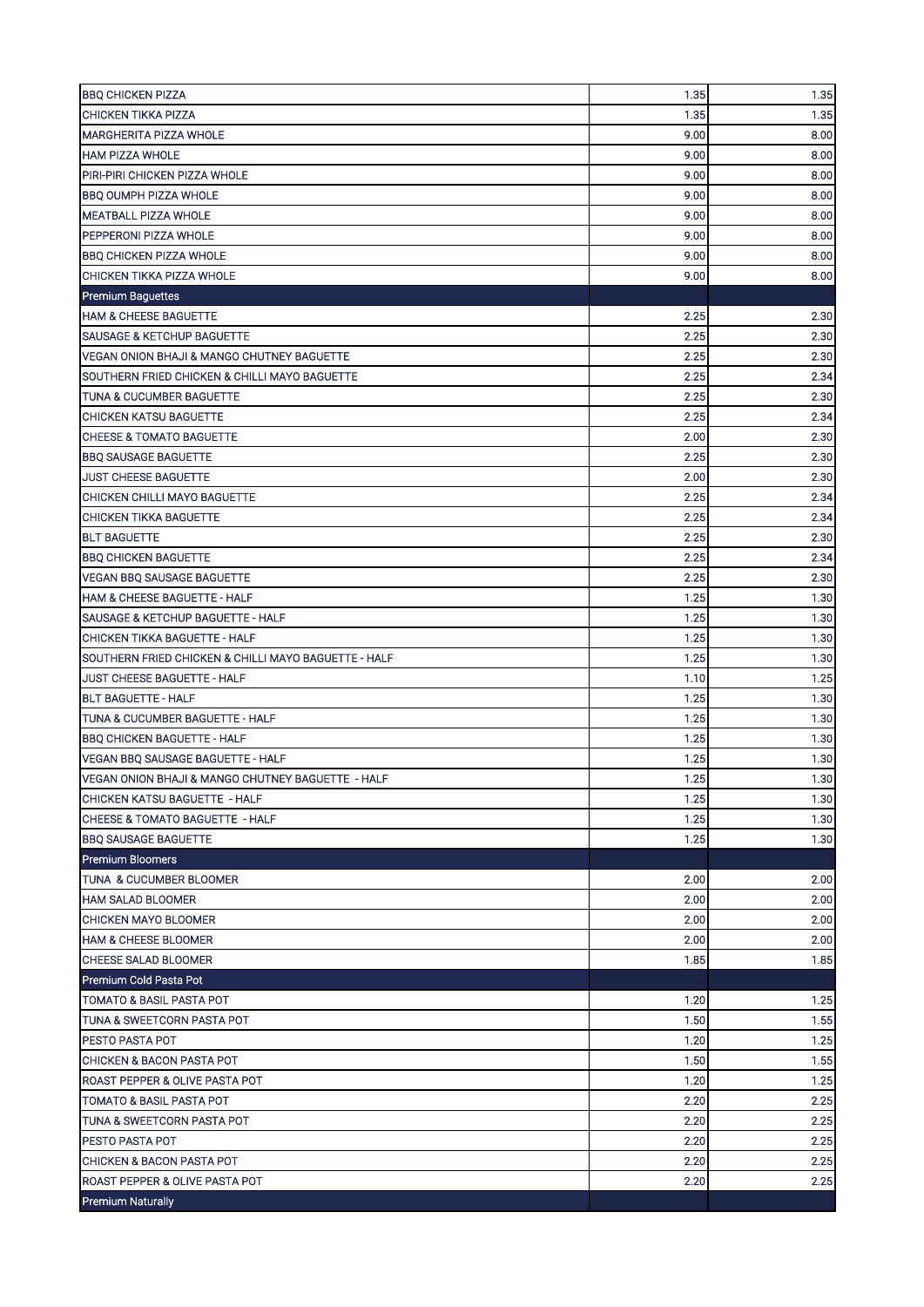| <b>BBQ CHICKEN PIZZA</b>                             | 1.35 | 1.35 |
|------------------------------------------------------|------|------|
| <b>CHICKEN TIKKA PIZZA</b>                           | 1.35 | 1.35 |
| <b>MARGHERITA PIZZA WHOLE</b>                        | 9.00 | 8.00 |
| <b>HAM PIZZA WHOLE</b>                               | 9.00 | 8.00 |
| PIRI-PIRI CHICKEN PIZZA WHOLE                        | 9.00 | 8.00 |
| <b>BBQ OUMPH PIZZA WHOLE</b>                         | 9.00 | 8.00 |
| MEATBALL PIZZA WHOLE                                 | 9.00 | 8.00 |
| PEPPERONI PIZZA WHOLE                                | 9.00 | 8.00 |
| <b>BBQ CHICKEN PIZZA WHOLE</b>                       | 9.00 | 8.00 |
| CHICKEN TIKKA PIZZA WHOLE                            | 9.00 | 8.00 |
| <b>Premium Baguettes</b>                             |      |      |
| <b>HAM &amp; CHEESE BAGUETTE</b>                     | 2.25 | 2.30 |
| <b>SAUSAGE &amp; KETCHUP BAGUETTE</b>                | 2.25 | 2.30 |
| VEGAN ONION BHAJI & MANGO CHUTNEY BAGUETTE           | 2.25 | 2.30 |
| SOUTHERN FRIED CHICKEN & CHILLI MAYO BAGUETTE        | 2.25 | 2.34 |
| <b>TUNA &amp; CUCUMBER BAGUETTE</b>                  | 2.25 | 2.30 |
| CHICKEN KATSU BAGUETTE                               | 2.25 | 2.34 |
| <b>CHEESE &amp; TOMATO BAGUETTE</b>                  | 2.00 | 2.30 |
| <b>BBQ SAUSAGE BAGUETTE</b>                          | 2.25 | 2.30 |
| <b>JUST CHEESE BAGUETTE</b>                          | 2.00 | 2.30 |
| CHICKEN CHILLI MAYO BAGUETTE                         | 2.25 | 2.34 |
| <b>CHICKEN TIKKA BAGUETTE</b>                        | 2.25 | 2.34 |
| <b>BLT BAGUETTE</b>                                  | 2.25 | 2.30 |
| <b>BBQ CHICKEN BAGUETTE</b>                          | 2.25 | 2.34 |
| <b>VEGAN BBQ SAUSAGE BAGUETTE</b>                    | 2.25 | 2.30 |
| <b>HAM &amp; CHEESE BAGUETTE - HALF</b>              | 1.25 | 1.30 |
| SAUSAGE & KETCHUP BAGUETTE - HALF                    | 1.25 | 1.30 |
| <b>CHICKEN TIKKA BAGUETTE - HALF</b>                 | 1.25 | 1.30 |
| SOUTHERN FRIED CHICKEN & CHILLI MAYO BAGUETTE - HALF | 1.25 | 1.30 |
| JUST CHEESE BAGUETTE - HALF                          | 1.10 | 1.25 |
| <b>BLT BAGUETTE - HALF</b>                           | 1.25 | 1.30 |
| TUNA & CUCUMBER BAGUETTE - HALF                      | 1.25 | 1.30 |
| <b>BBQ CHICKEN BAGUETTE - HALF</b>                   | 1.25 | 1.30 |
| <b>VEGAN BBQ SAUSAGE BAGUETTE - HALF</b>             | 1.25 | 1.30 |
| VEGAN ONION BHAJI & MANGO CHUTNEY BAGUETTE - HALF    | 1.25 | 1.30 |
| CHICKEN KATSU BAGUETTE - HALF                        | 1.25 | 1.30 |
| <b>CHEESE &amp; TOMATO BAGUETTE - HALF</b>           | 1.25 | 1.30 |
| <b>BBQ SAUSAGE BAGUETTE</b>                          | 1.25 | 1.30 |
| <b>Premium Bloomers</b>                              |      |      |
| TUNA & CUCUMBER BLOOMER                              | 2.00 | 2.00 |
| <b>HAM SALAD BLOOMER</b>                             | 2.00 | 2.00 |
| CHICKEN MAYO BLOOMER                                 | 2.00 | 2.00 |
| <b>HAM &amp; CHEESE BLOOMER</b>                      | 2.00 | 2.00 |
| <b>CHEESE SALAD BLOOMER</b>                          | 1.85 | 1.85 |
| Premium Cold Pasta Pot                               |      |      |
| TOMATO & BASIL PASTA POT                             | 1.20 | 1.25 |
| TUNA & SWEETCORN PASTA POT                           | 1.50 | 1.55 |
| <b>PESTO PASTA POT</b>                               | 1.20 | 1.25 |
| CHICKEN & BACON PASTA POT                            | 1.50 | 1.55 |
| ROAST PEPPER & OLIVE PASTA POT                       | 1.20 | 1.25 |
| TOMATO & BASIL PASTA POT                             | 2.20 | 2.25 |
| TUNA & SWEETCORN PASTA POT                           | 2.20 | 2.25 |
| PESTO PASTA POT                                      | 2.20 | 2.25 |
| CHICKEN & BACON PASTA POT                            | 2.20 | 2.25 |
| ROAST PEPPER & OLIVE PASTA POT                       | 2.20 | 2.25 |
| <b>Premium Naturally</b>                             |      |      |
|                                                      |      |      |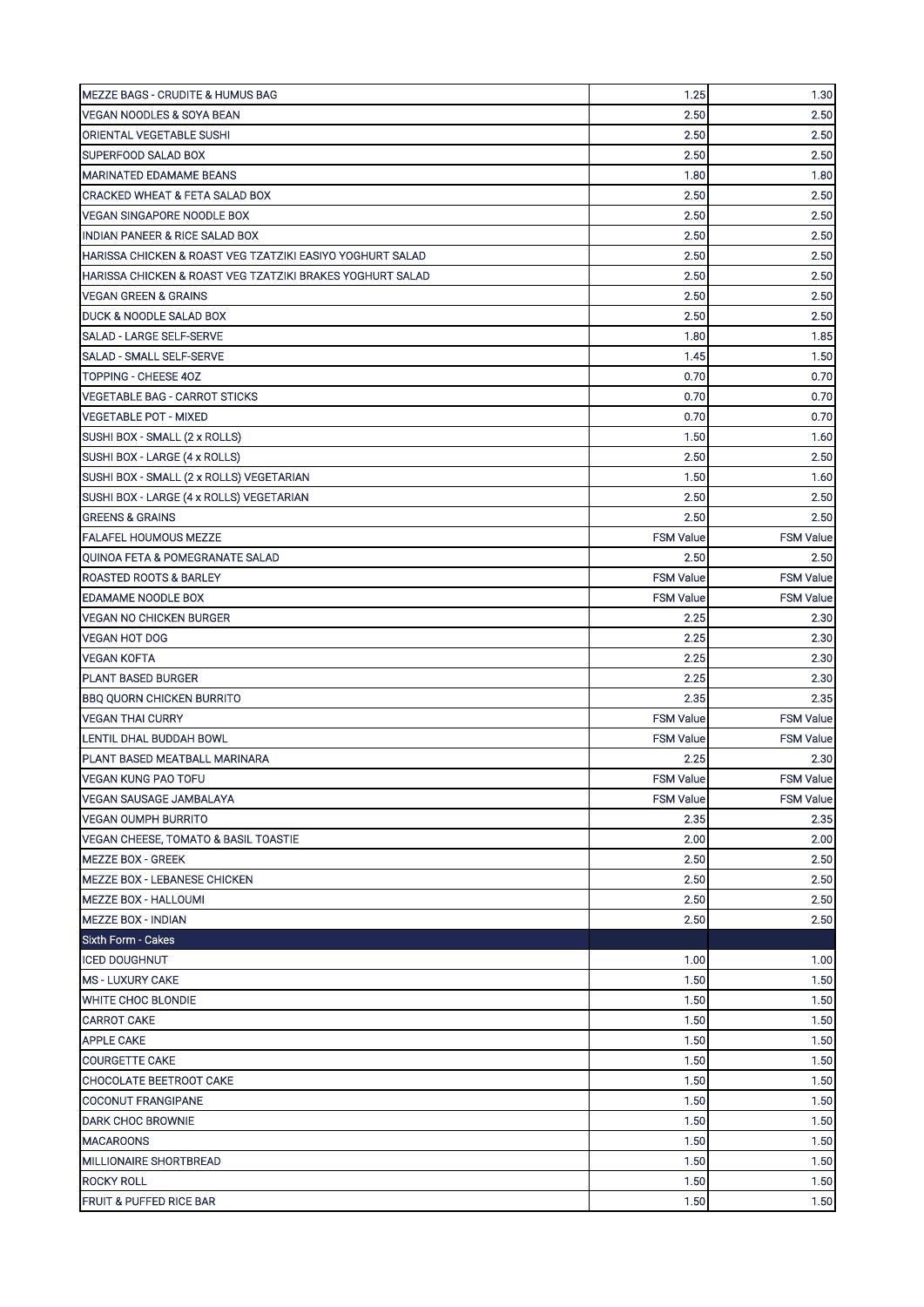| <b>MEZZE BAGS - CRUDITE &amp; HUMUS BAG</b>                   | 1.25             | 1.30             |
|---------------------------------------------------------------|------------------|------------------|
| VEGAN NOODLES & SOYA BEAN                                     | 2.50             | 2.50             |
| ORIENTAL VEGETABLE SUSHI                                      | 2.50             | 2.50             |
| SUPERFOOD SALAD BOX                                           | 2.50             | 2.50             |
| <b>MARINATED EDAMAME BEANS</b>                                | 1.80             | 1.80             |
| <b>CRACKED WHEAT &amp; FETA SALAD BOX</b>                     | 2.50             | 2.50             |
| <b>VEGAN SINGAPORE NOODLE BOX</b>                             | 2.50             | 2.50             |
| <b>INDIAN PANEER &amp; RICE SALAD BOX</b>                     | 2.50             | 2.50             |
| HARISSA CHICKEN & ROAST VEG TZATZIKI EASIYO YOGHURT SALAD     | 2.50             | 2.50             |
| HARISSA CHICKEN & ROAST VEG TZATZIKI BRAKES YOGHURT SALAD     | 2.50             | 2.50             |
| <b>VEGAN GREEN &amp; GRAINS</b>                               | 2.50             | 2.50             |
| DUCK & NOODLE SALAD BOX                                       | 2.50             | 2.50             |
| SALAD - LARGE SELF-SERVE                                      | 1.80             | 1.85             |
| SALAD - SMALL SELF-SERVE                                      | 1.45             | 1.50             |
| TOPPING - CHEESE 40Z                                          | 0.70             | 0.70             |
| <b>VEGETABLE BAG - CARROT STICKS</b>                          | 0.70             | 0.70             |
| <b>VEGETABLE POT - MIXED</b>                                  | 0.70             | 0.70             |
| SUSHI BOX - SMALL (2 x ROLLS)                                 | 1.50             | 1.60             |
| SUSHI BOX - LARGE (4 x ROLLS)                                 | 2.50             | 2.50             |
| SUSHI BOX - SMALL (2 x ROLLS) VEGETARIAN                      | 1.50             | 1.60             |
| SUSHI BOX - LARGE (4 x ROLLS) VEGETARIAN                      | 2.50             | 2.50             |
| <b>GREENS &amp; GRAINS</b>                                    | 2.50             | 2.50             |
| <b>FALAFEL HOUMOUS MEZZE</b>                                  | <b>FSM Value</b> | <b>FSM Value</b> |
| QUINOA FETA & POMEGRANATE SALAD                               | 2.50             | 2.50             |
| <b>ROASTED ROOTS &amp; BARLEY</b>                             | <b>FSM Value</b> | <b>FSM Value</b> |
| <b>EDAMAME NOODLE BOX</b>                                     | <b>FSM Value</b> | <b>FSM Value</b> |
| <b>VEGAN NO CHICKEN BURGER</b>                                | 2.25             | 2.30             |
| <b>VEGAN HOT DOG</b>                                          | 2.25             | 2.30             |
| <b>VEGAN KOFTA</b>                                            | 2.25             | 2.30             |
|                                                               | 2.25             | 2.30             |
| <b>PLANT BASED BURGER</b><br><b>BBQ QUORN CHICKEN BURRITO</b> | 2.35             | 2.35             |
| <b>VEGAN THAI CURRY</b>                                       | <b>FSM Value</b> | <b>FSM Value</b> |
| LENTIL DHAL BUDDAH BOWL                                       | <b>FSM Value</b> | <b>FSM Value</b> |
| PLANT BASED MEATBALL MARINARA                                 | 2.25             | 2.30             |
| VEGAN KUNG PAO TOFU                                           | <b>FSM Value</b> | <b>FSM Value</b> |
|                                                               | <b>FSM Value</b> |                  |
| VEGAN SAUSAGE JAMBALAYA                                       |                  | <b>FSM Value</b> |
| <b>VEGAN OUMPH BURRITO</b>                                    | 2.35             | 2.35             |
| VEGAN CHEESE, TOMATO & BASIL TOASTIE                          | 2.00             | 2.00             |
| <b>MEZZE BOX - GREEK</b>                                      | 2.50             | 2.50             |
| <b>MEZZE BOX - LEBANESE CHICKEN</b>                           | 2.50             | 2.50             |
| MEZZE BOX - HALLOUMI                                          | 2.50             | 2.50             |
| <b>MEZZE BOX - INDIAN</b>                                     | 2.50             | 2.50             |
| Sixth Form - Cakes                                            |                  |                  |
| <b>ICED DOUGHNUT</b>                                          | 1.00             | 1.00             |
| <b>MS - LUXURY CAKE</b>                                       | 1.50             | 1.50<br>1.50     |
| <b>WHITE CHOC BLONDIE</b><br><b>CARROT CAKE</b>               | 1.50<br>1.50     | 1.50             |
| <b>APPLE CAKE</b>                                             | 1.50             | 1.50             |
| <b>COURGETTE CAKE</b>                                         | 1.50             | 1.50             |
| CHOCOLATE BEETROOT CAKE                                       | 1.50             | 1.50             |
| <b>COCONUT FRANGIPANE</b>                                     | 1.50             | 1.50             |
| <b>DARK CHOC BROWNIE</b>                                      | 1.50             | 1.50             |
| <b>MACAROONS</b>                                              | 1.50             | 1.50             |
| MILLIONAIRE SHORTBREAD                                        | 1.50             | 1.50             |
|                                                               | 1.50             | 1.50             |
| <b>ROCKY ROLL</b>                                             |                  |                  |
| <b>FRUIT &amp; PUFFED RICE BAR</b>                            | 1.50             | 1.50             |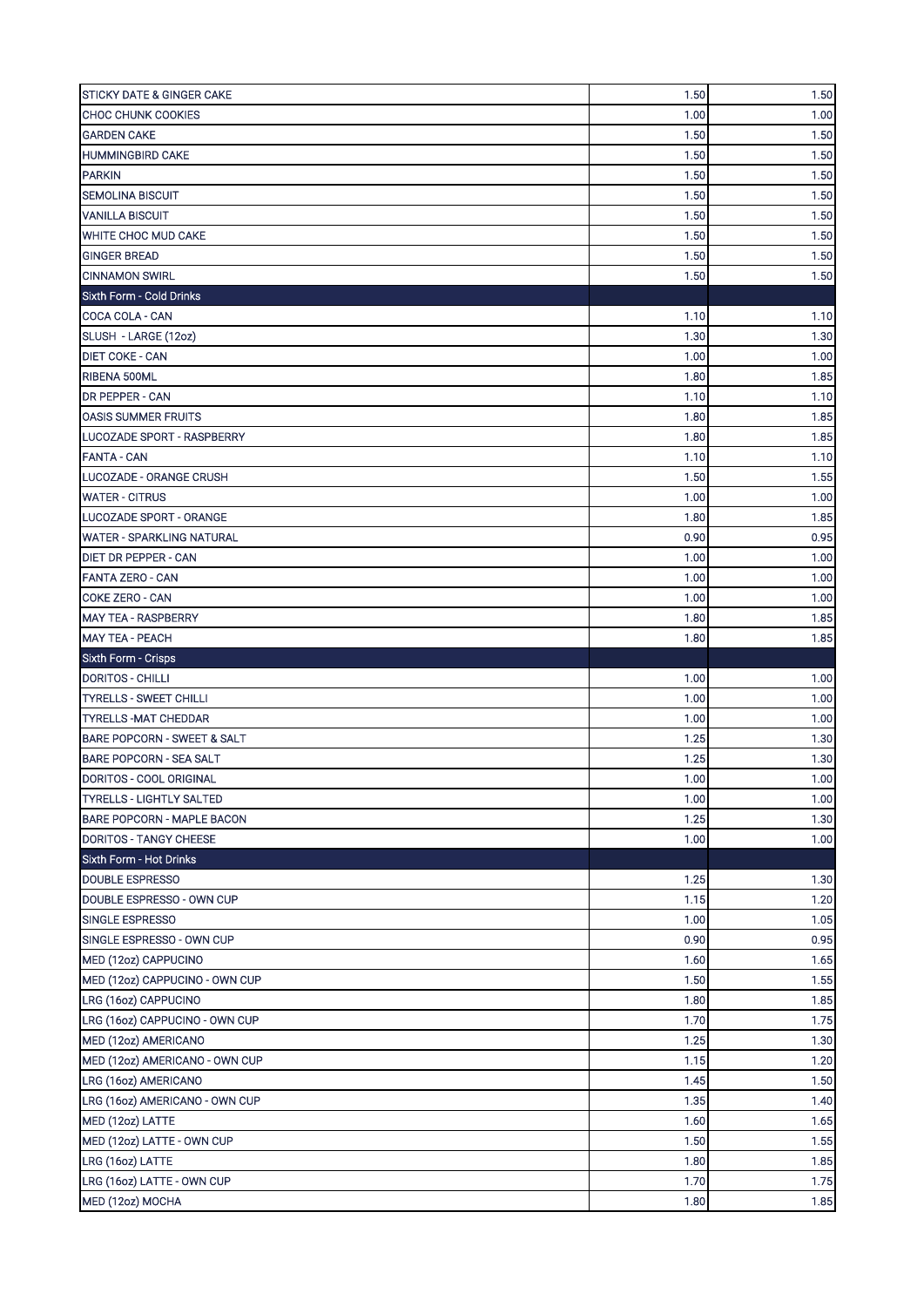| <b>STICKY DATE &amp; GINGER CAKE</b>                                       | 1.50 | 1.50     |
|----------------------------------------------------------------------------|------|----------|
| <b>CHOC CHUNK COOKIES</b>                                                  | 1.00 | 1.00     |
| <b>GARDEN CAKE</b>                                                         | 1.50 | 1.50     |
| <b>HUMMINGBIRD CAKE</b>                                                    | 1.50 | 1.50     |
| <b>PARKIN</b>                                                              | 1.50 | 1.50     |
| <b>SEMOLINA BISCUIT</b>                                                    | 1.50 | 1.50     |
| <b>VANILLA BISCUIT</b>                                                     | 1.50 | 1.50     |
| <b>WHITE CHOC MUD CAKE</b>                                                 | 1.50 | 1.50     |
| <b>GINGER BREAD</b>                                                        | 1.50 | 1.50     |
| <b>CINNAMON SWIRL</b>                                                      | 1.50 | 1.50     |
| Sixth Form - Cold Drinks                                                   |      |          |
| COCA COLA - CAN                                                            | 1.10 | 1.10     |
| SLUSH - LARGE (12oz)                                                       | 1.30 | 1.30     |
| <b>DIET COKE - CAN</b>                                                     | 1.00 | 1.00     |
| RIBENA 500ML                                                               | 1.80 | 1.85     |
| <b>DR PEPPER - CAN</b>                                                     | 1.10 | 1.10     |
| <b>OASIS SUMMER FRUITS</b>                                                 | 1.80 | 1.85     |
| LUCOZADE SPORT - RASPBERRY                                                 | 1.80 | 1.85     |
| <b>FANTA - CAN</b>                                                         | 1.10 | 1.10     |
| LUCOZADE - ORANGE CRUSH                                                    | 1.50 | 1.55     |
| <b>WATER - CITRUS</b>                                                      | 1.00 | 1.00     |
| LUCOZADE SPORT - ORANGE                                                    | 1.80 | 1.85     |
| <b>WATER - SPARKLING NATURAL</b>                                           | 0.90 | 0.95     |
| <b>DIET DR PEPPER - CAN</b>                                                | 1.00 | 1.00     |
| <b>FANTA ZERO - CAN</b>                                                    | 1.00 | 1.00     |
| <b>COKE ZERO - CAN</b>                                                     | 1.00 | 1.00     |
| <b>MAY TEA - RASPBERRY</b>                                                 | 1.80 | 1.85     |
| <b>MAY TEA - PEACH</b>                                                     | 1.80 | 1.85     |
|                                                                            |      |          |
|                                                                            |      |          |
| Sixth Form - Crisps<br><b>DORITOS - CHILLI</b>                             | 1.00 | 1.00     |
| <b>TYRELLS - SWEET CHILLI</b>                                              | 1.00 | 1.00     |
| <b>TYRELLS-MAT CHEDDAR</b>                                                 | 1.00 | 1.00     |
| BARE POPCORN - SWEET & SALT                                                | 1.25 | 1.30     |
| <b>BARE POPCORN - SEA SALT</b>                                             | 1.25 | 1.30     |
| DORITOS - COOL ORIGINAL                                                    | 1.00 |          |
| <b>TYRELLS - LIGHTLY SALTED</b>                                            | 1.00 | 1.00     |
| BARE POPCORN - MAPLE BACON                                                 | 1.25 | 1.30     |
| DORITOS - TANGY CHEESE                                                     | 1.00 | 1.00     |
| Sixth Form - Hot Drinks                                                    |      | $1.00\,$ |
| <b>DOUBLE ESPRESSO</b>                                                     | 1.25 | 1.30     |
| DOUBLE ESPRESSO - OWN CUP                                                  | 1.15 | 1.20     |
| <b>SINGLE ESPRESSO</b>                                                     | 1.00 | 1.05     |
| SINGLE ESPRESSO - OWN CUP                                                  | 0.90 | 0.95     |
| MED (12oz) CAPPUCINO                                                       | 1.60 | 1.65     |
| MED (12oz) CAPPUCINO - OWN CUP                                             | 1.50 | 1.55     |
| LRG (16oz) CAPPUCINO                                                       | 1.80 | 1.85     |
| LRG (16oz) CAPPUCINO - OWN CUP                                             | 1.70 | 1.75     |
| MED (12oz) AMERICANO                                                       | 1.25 | 1.30     |
| MED (12oz) AMERICANO - OWN CUP                                             | 1.15 | 1.20     |
|                                                                            | 1.45 | 1.50     |
|                                                                            | 1.35 | 1.40     |
| LRG (16oz) AMERICANO<br>LRG (16oz) AMERICANO - OWN CUP<br>MED (12oz) LATTE | 1.60 | 1.65     |
| MED (12oz) LATTE - OWN CUP                                                 | 1.50 | 1.55     |
| LRG (16oz) LATTE                                                           | 1.80 | 1.85     |
| LRG (16oz) LATTE - OWN CUP                                                 | 1.70 | 1.75     |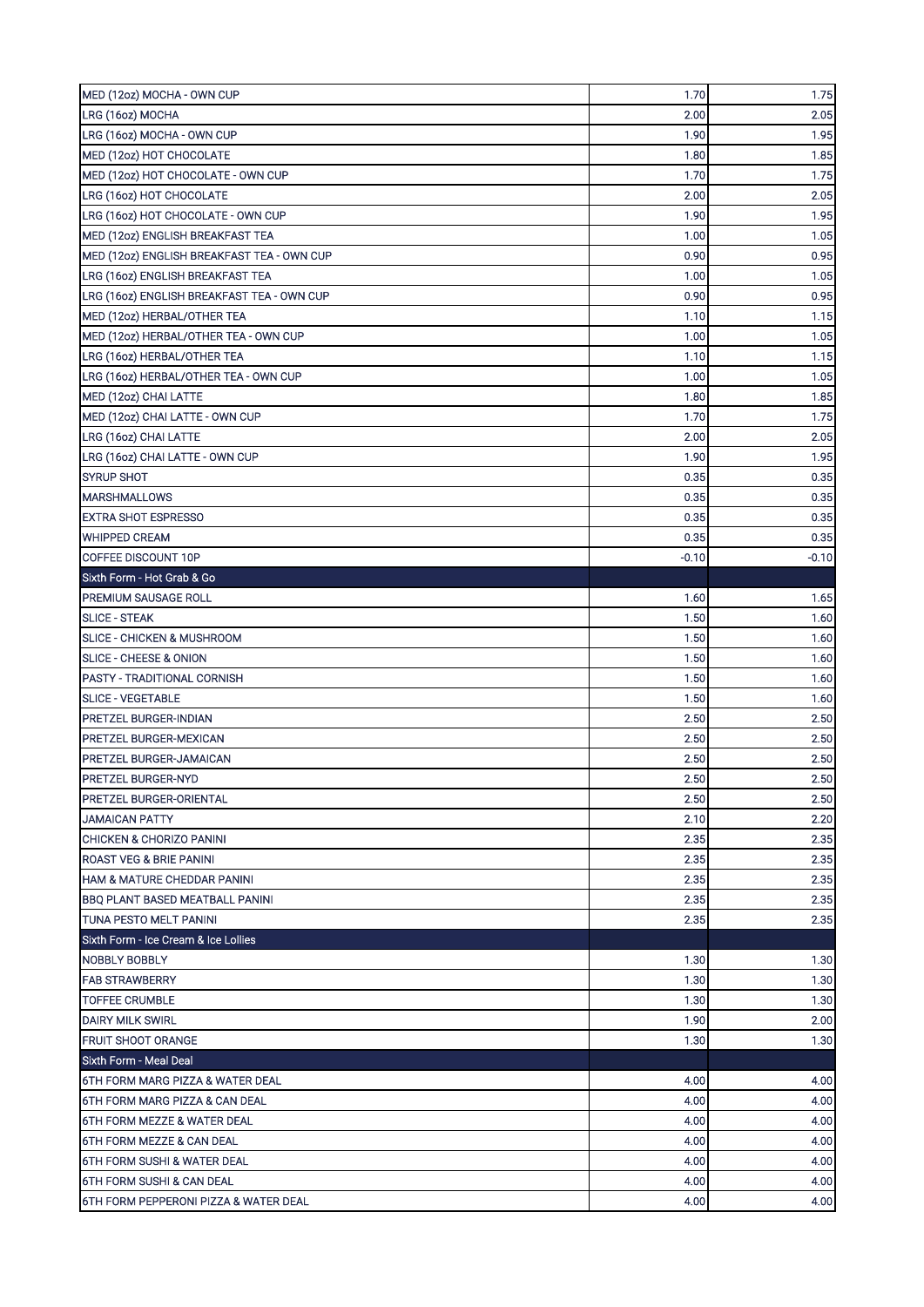| MED (12oz) MOCHA - OWN CUP                                         | 1.70    | 1.75         |
|--------------------------------------------------------------------|---------|--------------|
| LRG (16oz) MOCHA                                                   | 2.00    | 2.05         |
| LRG (16oz) MOCHA - OWN CUP                                         | 1.90    | 1.95         |
| MED (12oz) HOT CHOCOLATE                                           | 1.80    | 1.85         |
| MED (12oz) HOT CHOCOLATE - OWN CUP                                 | 1.70    | 1.75         |
| LRG (16oz) HOT CHOCOLATE                                           | 2.00    | 2.05         |
| LRG (16oz) HOT CHOCOLATE - OWN CUP                                 | 1.90    | 1.95         |
| MED (12oz) ENGLISH BREAKFAST TEA                                   | 1.00    | 1.05         |
| MED (12oz) ENGLISH BREAKFAST TEA - OWN CUP                         | 0.90    | 0.95         |
| LRG (16oz) ENGLISH BREAKFAST TEA                                   | 1.00    | 1.05         |
| LRG (16oz) ENGLISH BREAKFAST TEA - OWN CUP                         | 0.90    | 0.95         |
| MED (12oz) HERBAL/OTHER TEA                                        | 1.10    | 1.15         |
| MED (12oz) HERBAL/OTHER TEA - OWN CUP                              | 1.00    | 1.05         |
| LRG (16oz) HERBAL/OTHER TEA                                        | 1.10    | 1.15         |
| LRG (16oz) HERBAL/OTHER TEA - OWN CUP                              | 1.00    | 1.05         |
| MED (12oz) CHAI LATTE                                              | 1.80    | 1.85         |
| MED (12oz) CHAI LATTE - OWN CUP                                    | 1.70    | 1.75         |
| LRG (16oz) CHAI LATTE                                              | 2.00    | 2.05         |
| LRG (16oz) CHAI LATTE - OWN CUP                                    | 1.90    | 1.95         |
| <b>SYRUP SHOT</b>                                                  | 0.35    | 0.35         |
| <b>MARSHMALLOWS</b>                                                | 0.35    | 0.35         |
| <b>EXTRA SHOT ESPRESSO</b>                                         | 0.35    | 0.35         |
| <b>WHIPPED CREAM</b>                                               | 0.35    | 0.35         |
| COFFEE DISCOUNT 10P                                                | $-0.10$ | -0.10        |
| Sixth Form - Hot Grab & Go                                         |         |              |
| PREMIUM SAUSAGE ROLL                                               | 1.60    | 1.65         |
| <b>SLICE - STEAK</b>                                               | 1.50    | 1.60         |
| SLICE - CHICKEN & MUSHROOM                                         | 1.50    | 1.60         |
| SLICE - CHEESE & ONION                                             | 1.50    | 1.60         |
| PASTY - TRADITIONAL CORNISH                                        | 1.50    | 1.60         |
| <b>SLICE - VEGETABLE</b>                                           | 1.50    | 1.60         |
| <b>PRETZEL BURGER-INDIAN</b>                                       | 2.50    | 2.50         |
| PRETZEL BURGER-MEXICAN                                             | 2.50    | 2.50         |
| PRETZEL BURGER-JAMAICAN                                            | 2.50    | 2.50         |
| PRETZEL BURGER-NYD                                                 | 2.50    | 2.50         |
| <b>PRETZEL BURGER-ORIENTAL</b>                                     | 2.50    | 2.50         |
| <b>JAMAICAN PATTY</b>                                              | 2.10    | 2.20         |
| CHICKEN & CHORIZO PANINI                                           | 2.35    |              |
| <b>ROAST VEG &amp; BRIE PANINI</b>                                 | 2.35    | 2.35<br>2.35 |
| HAM & MATURE CHEDDAR PANINI                                        | 2.35    |              |
| <b>BBO PLANT BASED MEATBALL PANINI</b>                             |         | 2.35         |
|                                                                    | 2.35    | 2.35         |
| TUNA PESTO MELT PANINI                                             | 2.35    | 2.35         |
| Sixth Form - Ice Cream & Ice Lollies                               |         |              |
| NOBBLY BOBBLY                                                      | 1.30    | 1.30         |
| <b>FAB STRAWBERRY</b>                                              | 1.30    | 1.30         |
| <b>TOFFEE CRUMBLE</b>                                              | 1.30    | 1.30         |
| <b>DAIRY MILK SWIRL</b>                                            | 1.90    | 2.00         |
| <b>FRUIT SHOOT ORANGE</b>                                          | 1.30    | 1.30         |
| Sixth Form - Meal Deal                                             | 4.00    | 4.00         |
| 6TH FORM MARG PIZZA & WATER DEAL<br>6TH FORM MARG PIZZA & CAN DEAL | 4.00    | 4.00         |
| 6TH FORM MEZZE & WATER DEAL                                        | 4.00    | 4.00         |
| 6TH FORM MEZZE & CAN DEAL                                          | 4.00    | 4.00         |
| 6TH FORM SUSHI & WATER DEAL                                        | 4.00    | 4.00         |
| 6TH FORM SUSHI & CAN DEAL                                          | 4.00    | 4.00         |
|                                                                    |         |              |
| 6TH FORM PEPPERONI PIZZA & WATER DEAL                              | 4.00    | 4.00         |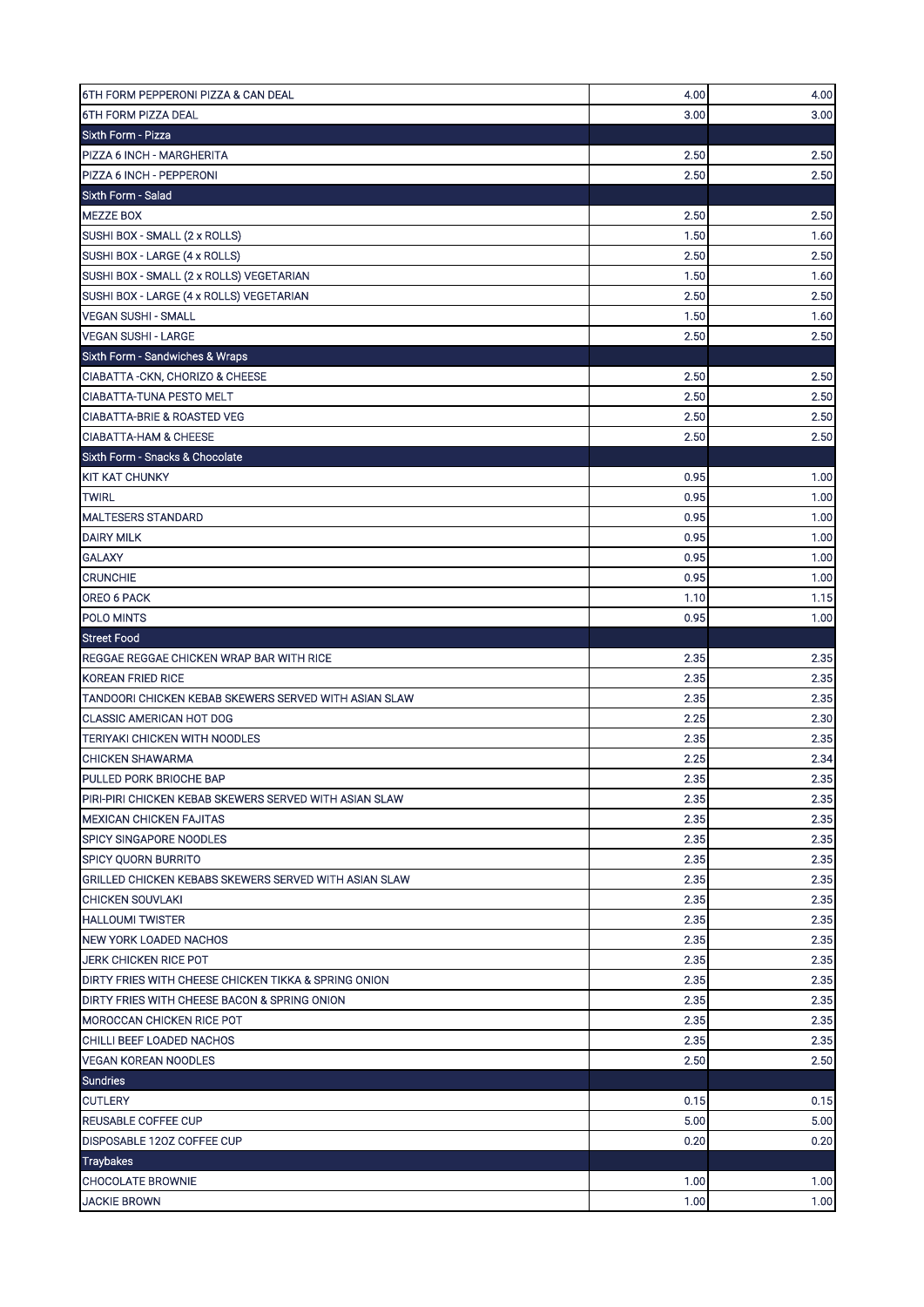| 6TH FORM PEPPERONI PIZZA & CAN DEAL                    | 4.00 | 4.00 |
|--------------------------------------------------------|------|------|
| <b>6TH FORM PIZZA DEAL</b>                             | 3.00 | 3.00 |
| Sixth Form - Pizza                                     |      |      |
| PIZZA 6 INCH - MARGHERITA                              | 2.50 | 2.50 |
| PIZZA 6 INCH - PEPPERONI                               | 2.50 | 2.50 |
| Sixth Form - Salad                                     |      |      |
| <b>MEZZE BOX</b>                                       | 2.50 | 2.50 |
| SUSHI BOX - SMALL (2 x ROLLS)                          | 1.50 | 1.60 |
| SUSHI BOX - LARGE (4 x ROLLS)                          | 2.50 | 2.50 |
| SUSHI BOX - SMALL (2 x ROLLS) VEGETARIAN               | 1.50 | 1.60 |
| SUSHI BOX - LARGE (4 x ROLLS) VEGETARIAN               | 2.50 | 2.50 |
| <b>VEGAN SUSHI - SMALL</b>                             | 1.50 | 1.60 |
| <b>VEGAN SUSHI - LARGE</b>                             | 2.50 | 2.50 |
| Sixth Form - Sandwiches & Wraps                        |      |      |
| CIABATTA - CKN, CHORIZO & CHEESE                       | 2.50 | 2.50 |
| <b>CIABATTA-TUNA PESTO MELT</b>                        | 2.50 | 2.50 |
| <b>CIABATTA-BRIE &amp; ROASTED VEG</b>                 | 2.50 | 2.50 |
| <b>CIABATTA-HAM &amp; CHEESE</b>                       | 2.50 | 2.50 |
| Sixth Form - Snacks & Chocolate                        |      |      |
| <b>KIT KAT CHUNKY</b>                                  | 0.95 | 1.00 |
| <b>TWIRL</b>                                           | 0.95 | 1.00 |
| <b>MALTESERS STANDARD</b>                              | 0.95 | 1.00 |
| <b>DAIRY MILK</b>                                      | 0.95 | 1.00 |
| <b>GALAXY</b>                                          | 0.95 | 1.00 |
| <b>CRUNCHIE</b>                                        | 0.95 | 1.00 |
| OREO 6 PACK                                            | 1.10 | 1.15 |
| POLO MINTS                                             | 0.95 | 1.00 |
| <b>Street Food</b>                                     |      |      |
| REGGAE REGGAE CHICKEN WRAP BAR WITH RICE               | 2.35 | 2.35 |
| <b>KOREAN FRIED RICE</b>                               | 2.35 | 2.35 |
| TANDOORI CHICKEN KEBAB SKEWERS SERVED WITH ASIAN SLAW  | 2.35 | 2.35 |
| <b>CLASSIC AMERICAN HOT DOG</b>                        | 2.25 | 2.30 |
| TERIYAKI CHICKEN WITH NOODLES                          | 2.35 | 2.35 |
| <b>CHICKEN SHAWARMA</b>                                | 2.25 | 2.34 |
| PULLED PORK BRIOCHE BAP                                | 2.35 | 2.35 |
| PIRI-PIRI CHICKEN KEBAB SKEWERS SERVED WITH ASIAN SLAW | 2.35 | 2.35 |
| <b>MEXICAN CHICKEN FAJITAS</b>                         | 2.35 | 2.35 |
| <b>SPICY SINGAPORE NOODLES</b>                         | 2.35 | 2.35 |
| <b>SPICY QUORN BURRITO</b>                             | 2.35 | 2.35 |
| GRILLED CHICKEN KEBABS SKEWERS SERVED WITH ASIAN SLAW  | 2.35 | 2.35 |
| <b>CHICKEN SOUVLAKI</b>                                | 2.35 | 2.35 |
| <b>HALLOUMI TWISTER</b>                                | 2.35 | 2.35 |
| NEW YORK LOADED NACHOS                                 | 2.35 | 2.35 |
| <b>JERK CHICKEN RICE POT</b>                           | 2.35 | 2.35 |
| DIRTY FRIES WITH CHEESE CHICKEN TIKKA & SPRING ONION   | 2.35 | 2.35 |
| DIRTY FRIES WITH CHEESE BACON & SPRING ONION           | 2.35 | 2.35 |
| <b>MOROCCAN CHICKEN RICE POT</b>                       | 2.35 | 2.35 |
| CHILLI BEEF LOADED NACHOS                              | 2.35 | 2.35 |
| <b>VEGAN KOREAN NOODLES</b>                            | 2.50 | 2.50 |
| <b>Sundries</b>                                        |      |      |
| <b>CUTLERY</b>                                         | 0.15 | 0.15 |
| REUSABLE COFFEE CUP                                    | 5.00 | 5.00 |
| DISPOSABLE 120Z COFFEE CUP                             | 0.20 | 0.20 |
| <b>Traybakes</b>                                       |      |      |
| <b>CHOCOLATE BROWNIE</b>                               | 1.00 | 1.00 |
| <b>JACKIE BROWN</b>                                    | 1.00 | 1.00 |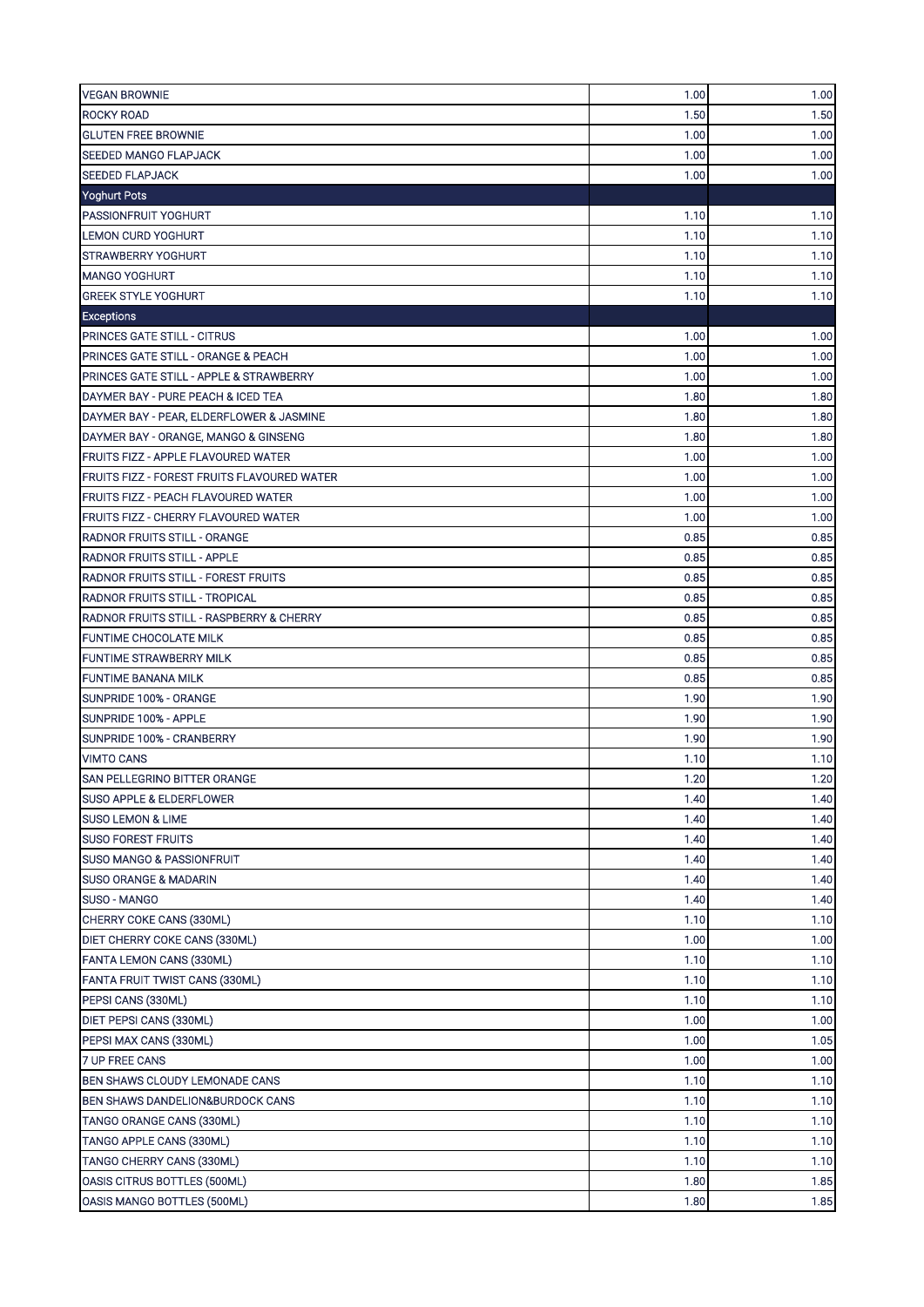| 1.50<br>1.50<br><b>ROCKY ROAD</b><br>1.00<br><b>GLUTEN FREE BROWNIE</b><br>1.00<br><b>SEEDED MANGO FLAPJACK</b><br>1.00<br>1.00<br><b>SEEDED FLAPJACK</b><br>1.00<br>1.00<br>Yoghurt Pots<br><b>PASSIONFRUIT YOGHURT</b><br>1.10<br>1.10<br>1.10<br><b>LEMON CURD YOGHURT</b><br>1.10<br><b>STRAWBERRY YOGHURT</b><br>1.10<br>1.10<br>1.10<br>1.10<br>1.10<br><b>GREEK STYLE YOGHURT</b><br>1.10<br><b>Exceptions</b><br><b>PRINCES GATE STILL - CITRUS</b><br>1.00<br>1.00<br>PRINCES GATE STILL - ORANGE & PEACH<br>1.00<br>1.00<br><b>PRINCES GATE STILL - APPLE &amp; STRAWBERRY</b><br>1.00<br>1.00<br>DAYMER BAY - PURE PEACH & ICED TEA<br>1.80<br>1.80<br>1.80<br>1.80<br>DAYMER BAY - PEAR, ELDERFLOWER & JASMINE<br>1.80<br>1.80<br>DAYMER BAY - ORANGE, MANGO & GINSENG<br>1.00<br>1.00<br><b>FRUITS FIZZ - APPLE FLAVOURED WATER</b><br><b>FRUITS FIZZ - FOREST FRUITS FLAVOURED WATER</b><br>1.00<br>1.00<br>1.00<br><b>FRUITS FIZZ - PEACH FLAVOURED WATER</b><br>1.00<br>FRUITS FIZZ - CHERRY FLAVOURED WATER<br>1.00<br>1.00<br>0.85<br>0.85<br><b>RADNOR FRUITS STILL - ORANGE</b><br>0.85<br>0.85<br><b>RADNOR FRUITS STILL - APPLE</b><br>0.85<br>0.85<br><b>RADNOR FRUITS STILL - FOREST FRUITS</b><br>0.85<br>0.85<br><b>RADNOR FRUITS STILL - TROPICAL</b><br><b>RADNOR FRUITS STILL - RASPBERRY &amp; CHERRY</b><br>0.85<br>0.85<br><b>FUNTIME CHOCOLATE MILK</b><br>0.85<br>0.85<br><b>FUNTIME STRAWBERRY MILK</b><br>0.85<br>0.85<br>0.85<br>0.85<br><b>FUNTIME BANANA MILK</b><br>1.90<br>1.90<br>SUNPRIDE 100% - ORANGE<br>SUNPRIDE 100% - APPLE<br>1.90<br>1.90<br>SUNPRIDE 100% - CRANBERRY<br>1.90<br>1.90<br><b>VIMTO CANS</b><br>1.10<br>1.10<br>SAN PELLEGRINO BITTER ORANGE<br>1.20<br>1.20<br>1.40<br>1.40<br>SUSO APPLE & ELDERFLOWER<br>1.40<br>1.40<br><b>SUSO LEMON &amp; LIME</b><br><b>SUSO FOREST FRUITS</b><br>1.40<br>1.40<br>SUSO MANGO & PASSIONFRUIT<br>1.40<br>1.40<br>1.40<br><b>SUSO ORANGE &amp; MADARIN</b><br>1.40<br>SUSO - MANGO<br>1.40<br>1.40<br>CHERRY COKE CANS (330ML)<br>1.10<br>1.10<br>DIET CHERRY COKE CANS (330ML)<br>1.00<br>1.00<br>1.10<br>FANTA LEMON CANS (330ML)<br>1.10<br>FANTA FRUIT TWIST CANS (330ML)<br>1.10<br>1.10<br>PEPSI CANS (330ML)<br>1.10<br>1.10<br>DIET PEPSI CANS (330ML)<br>1.00<br>1.00<br>PEPSI MAX CANS (330ML)<br>1.00<br>1.05<br>7 UP FREE CANS<br>1.00<br>1.00<br>BEN SHAWS CLOUDY LEMONADE CANS<br>1.10<br>1.10<br>BEN SHAWS DANDELION&BURDOCK CANS<br>1.10<br>1.10<br>TANGO ORANGE CANS (330ML)<br>1.10<br>1.10<br>TANGO APPLE CANS (330ML)<br>1.10<br>1.10<br>TANGO CHERRY CANS (330ML)<br>1.10<br>1.10<br>1.80<br>OASIS CITRUS BOTTLES (500ML)<br>1.85<br>OASIS MANGO BOTTLES (500ML)<br>1.80<br>1.85 | <b>VEGAN BROWNIE</b> | 1.00 | 1.00 |
|------------------------------------------------------------------------------------------------------------------------------------------------------------------------------------------------------------------------------------------------------------------------------------------------------------------------------------------------------------------------------------------------------------------------------------------------------------------------------------------------------------------------------------------------------------------------------------------------------------------------------------------------------------------------------------------------------------------------------------------------------------------------------------------------------------------------------------------------------------------------------------------------------------------------------------------------------------------------------------------------------------------------------------------------------------------------------------------------------------------------------------------------------------------------------------------------------------------------------------------------------------------------------------------------------------------------------------------------------------------------------------------------------------------------------------------------------------------------------------------------------------------------------------------------------------------------------------------------------------------------------------------------------------------------------------------------------------------------------------------------------------------------------------------------------------------------------------------------------------------------------------------------------------------------------------------------------------------------------------------------------------------------------------------------------------------------------------------------------------------------------------------------------------------------------------------------------------------------------------------------------------------------------------------------------------------------------------------------------------------------------------------------------------------------------------------------------------------------------------------------------------------------------------------------------------------------------------------------------------------------------------------------------------------------------------------------------------|----------------------|------|------|
|                                                                                                                                                                                                                                                                                                                                                                                                                                                                                                                                                                                                                                                                                                                                                                                                                                                                                                                                                                                                                                                                                                                                                                                                                                                                                                                                                                                                                                                                                                                                                                                                                                                                                                                                                                                                                                                                                                                                                                                                                                                                                                                                                                                                                                                                                                                                                                                                                                                                                                                                                                                                                                                                                                            |                      |      |      |
|                                                                                                                                                                                                                                                                                                                                                                                                                                                                                                                                                                                                                                                                                                                                                                                                                                                                                                                                                                                                                                                                                                                                                                                                                                                                                                                                                                                                                                                                                                                                                                                                                                                                                                                                                                                                                                                                                                                                                                                                                                                                                                                                                                                                                                                                                                                                                                                                                                                                                                                                                                                                                                                                                                            |                      |      |      |
|                                                                                                                                                                                                                                                                                                                                                                                                                                                                                                                                                                                                                                                                                                                                                                                                                                                                                                                                                                                                                                                                                                                                                                                                                                                                                                                                                                                                                                                                                                                                                                                                                                                                                                                                                                                                                                                                                                                                                                                                                                                                                                                                                                                                                                                                                                                                                                                                                                                                                                                                                                                                                                                                                                            |                      |      |      |
|                                                                                                                                                                                                                                                                                                                                                                                                                                                                                                                                                                                                                                                                                                                                                                                                                                                                                                                                                                                                                                                                                                                                                                                                                                                                                                                                                                                                                                                                                                                                                                                                                                                                                                                                                                                                                                                                                                                                                                                                                                                                                                                                                                                                                                                                                                                                                                                                                                                                                                                                                                                                                                                                                                            |                      |      |      |
|                                                                                                                                                                                                                                                                                                                                                                                                                                                                                                                                                                                                                                                                                                                                                                                                                                                                                                                                                                                                                                                                                                                                                                                                                                                                                                                                                                                                                                                                                                                                                                                                                                                                                                                                                                                                                                                                                                                                                                                                                                                                                                                                                                                                                                                                                                                                                                                                                                                                                                                                                                                                                                                                                                            |                      |      |      |
|                                                                                                                                                                                                                                                                                                                                                                                                                                                                                                                                                                                                                                                                                                                                                                                                                                                                                                                                                                                                                                                                                                                                                                                                                                                                                                                                                                                                                                                                                                                                                                                                                                                                                                                                                                                                                                                                                                                                                                                                                                                                                                                                                                                                                                                                                                                                                                                                                                                                                                                                                                                                                                                                                                            |                      |      |      |
|                                                                                                                                                                                                                                                                                                                                                                                                                                                                                                                                                                                                                                                                                                                                                                                                                                                                                                                                                                                                                                                                                                                                                                                                                                                                                                                                                                                                                                                                                                                                                                                                                                                                                                                                                                                                                                                                                                                                                                                                                                                                                                                                                                                                                                                                                                                                                                                                                                                                                                                                                                                                                                                                                                            |                      |      |      |
|                                                                                                                                                                                                                                                                                                                                                                                                                                                                                                                                                                                                                                                                                                                                                                                                                                                                                                                                                                                                                                                                                                                                                                                                                                                                                                                                                                                                                                                                                                                                                                                                                                                                                                                                                                                                                                                                                                                                                                                                                                                                                                                                                                                                                                                                                                                                                                                                                                                                                                                                                                                                                                                                                                            |                      |      |      |
|                                                                                                                                                                                                                                                                                                                                                                                                                                                                                                                                                                                                                                                                                                                                                                                                                                                                                                                                                                                                                                                                                                                                                                                                                                                                                                                                                                                                                                                                                                                                                                                                                                                                                                                                                                                                                                                                                                                                                                                                                                                                                                                                                                                                                                                                                                                                                                                                                                                                                                                                                                                                                                                                                                            | <b>MANGO YOGHURT</b> |      |      |
|                                                                                                                                                                                                                                                                                                                                                                                                                                                                                                                                                                                                                                                                                                                                                                                                                                                                                                                                                                                                                                                                                                                                                                                                                                                                                                                                                                                                                                                                                                                                                                                                                                                                                                                                                                                                                                                                                                                                                                                                                                                                                                                                                                                                                                                                                                                                                                                                                                                                                                                                                                                                                                                                                                            |                      |      |      |
|                                                                                                                                                                                                                                                                                                                                                                                                                                                                                                                                                                                                                                                                                                                                                                                                                                                                                                                                                                                                                                                                                                                                                                                                                                                                                                                                                                                                                                                                                                                                                                                                                                                                                                                                                                                                                                                                                                                                                                                                                                                                                                                                                                                                                                                                                                                                                                                                                                                                                                                                                                                                                                                                                                            |                      |      |      |
|                                                                                                                                                                                                                                                                                                                                                                                                                                                                                                                                                                                                                                                                                                                                                                                                                                                                                                                                                                                                                                                                                                                                                                                                                                                                                                                                                                                                                                                                                                                                                                                                                                                                                                                                                                                                                                                                                                                                                                                                                                                                                                                                                                                                                                                                                                                                                                                                                                                                                                                                                                                                                                                                                                            |                      |      |      |
|                                                                                                                                                                                                                                                                                                                                                                                                                                                                                                                                                                                                                                                                                                                                                                                                                                                                                                                                                                                                                                                                                                                                                                                                                                                                                                                                                                                                                                                                                                                                                                                                                                                                                                                                                                                                                                                                                                                                                                                                                                                                                                                                                                                                                                                                                                                                                                                                                                                                                                                                                                                                                                                                                                            |                      |      |      |
|                                                                                                                                                                                                                                                                                                                                                                                                                                                                                                                                                                                                                                                                                                                                                                                                                                                                                                                                                                                                                                                                                                                                                                                                                                                                                                                                                                                                                                                                                                                                                                                                                                                                                                                                                                                                                                                                                                                                                                                                                                                                                                                                                                                                                                                                                                                                                                                                                                                                                                                                                                                                                                                                                                            |                      |      |      |
|                                                                                                                                                                                                                                                                                                                                                                                                                                                                                                                                                                                                                                                                                                                                                                                                                                                                                                                                                                                                                                                                                                                                                                                                                                                                                                                                                                                                                                                                                                                                                                                                                                                                                                                                                                                                                                                                                                                                                                                                                                                                                                                                                                                                                                                                                                                                                                                                                                                                                                                                                                                                                                                                                                            |                      |      |      |
|                                                                                                                                                                                                                                                                                                                                                                                                                                                                                                                                                                                                                                                                                                                                                                                                                                                                                                                                                                                                                                                                                                                                                                                                                                                                                                                                                                                                                                                                                                                                                                                                                                                                                                                                                                                                                                                                                                                                                                                                                                                                                                                                                                                                                                                                                                                                                                                                                                                                                                                                                                                                                                                                                                            |                      |      |      |
|                                                                                                                                                                                                                                                                                                                                                                                                                                                                                                                                                                                                                                                                                                                                                                                                                                                                                                                                                                                                                                                                                                                                                                                                                                                                                                                                                                                                                                                                                                                                                                                                                                                                                                                                                                                                                                                                                                                                                                                                                                                                                                                                                                                                                                                                                                                                                                                                                                                                                                                                                                                                                                                                                                            |                      |      |      |
|                                                                                                                                                                                                                                                                                                                                                                                                                                                                                                                                                                                                                                                                                                                                                                                                                                                                                                                                                                                                                                                                                                                                                                                                                                                                                                                                                                                                                                                                                                                                                                                                                                                                                                                                                                                                                                                                                                                                                                                                                                                                                                                                                                                                                                                                                                                                                                                                                                                                                                                                                                                                                                                                                                            |                      |      |      |
|                                                                                                                                                                                                                                                                                                                                                                                                                                                                                                                                                                                                                                                                                                                                                                                                                                                                                                                                                                                                                                                                                                                                                                                                                                                                                                                                                                                                                                                                                                                                                                                                                                                                                                                                                                                                                                                                                                                                                                                                                                                                                                                                                                                                                                                                                                                                                                                                                                                                                                                                                                                                                                                                                                            |                      |      |      |
|                                                                                                                                                                                                                                                                                                                                                                                                                                                                                                                                                                                                                                                                                                                                                                                                                                                                                                                                                                                                                                                                                                                                                                                                                                                                                                                                                                                                                                                                                                                                                                                                                                                                                                                                                                                                                                                                                                                                                                                                                                                                                                                                                                                                                                                                                                                                                                                                                                                                                                                                                                                                                                                                                                            |                      |      |      |
|                                                                                                                                                                                                                                                                                                                                                                                                                                                                                                                                                                                                                                                                                                                                                                                                                                                                                                                                                                                                                                                                                                                                                                                                                                                                                                                                                                                                                                                                                                                                                                                                                                                                                                                                                                                                                                                                                                                                                                                                                                                                                                                                                                                                                                                                                                                                                                                                                                                                                                                                                                                                                                                                                                            |                      |      |      |
|                                                                                                                                                                                                                                                                                                                                                                                                                                                                                                                                                                                                                                                                                                                                                                                                                                                                                                                                                                                                                                                                                                                                                                                                                                                                                                                                                                                                                                                                                                                                                                                                                                                                                                                                                                                                                                                                                                                                                                                                                                                                                                                                                                                                                                                                                                                                                                                                                                                                                                                                                                                                                                                                                                            |                      |      |      |
|                                                                                                                                                                                                                                                                                                                                                                                                                                                                                                                                                                                                                                                                                                                                                                                                                                                                                                                                                                                                                                                                                                                                                                                                                                                                                                                                                                                                                                                                                                                                                                                                                                                                                                                                                                                                                                                                                                                                                                                                                                                                                                                                                                                                                                                                                                                                                                                                                                                                                                                                                                                                                                                                                                            |                      |      |      |
|                                                                                                                                                                                                                                                                                                                                                                                                                                                                                                                                                                                                                                                                                                                                                                                                                                                                                                                                                                                                                                                                                                                                                                                                                                                                                                                                                                                                                                                                                                                                                                                                                                                                                                                                                                                                                                                                                                                                                                                                                                                                                                                                                                                                                                                                                                                                                                                                                                                                                                                                                                                                                                                                                                            |                      |      |      |
|                                                                                                                                                                                                                                                                                                                                                                                                                                                                                                                                                                                                                                                                                                                                                                                                                                                                                                                                                                                                                                                                                                                                                                                                                                                                                                                                                                                                                                                                                                                                                                                                                                                                                                                                                                                                                                                                                                                                                                                                                                                                                                                                                                                                                                                                                                                                                                                                                                                                                                                                                                                                                                                                                                            |                      |      |      |
|                                                                                                                                                                                                                                                                                                                                                                                                                                                                                                                                                                                                                                                                                                                                                                                                                                                                                                                                                                                                                                                                                                                                                                                                                                                                                                                                                                                                                                                                                                                                                                                                                                                                                                                                                                                                                                                                                                                                                                                                                                                                                                                                                                                                                                                                                                                                                                                                                                                                                                                                                                                                                                                                                                            |                      |      |      |
|                                                                                                                                                                                                                                                                                                                                                                                                                                                                                                                                                                                                                                                                                                                                                                                                                                                                                                                                                                                                                                                                                                                                                                                                                                                                                                                                                                                                                                                                                                                                                                                                                                                                                                                                                                                                                                                                                                                                                                                                                                                                                                                                                                                                                                                                                                                                                                                                                                                                                                                                                                                                                                                                                                            |                      |      |      |
|                                                                                                                                                                                                                                                                                                                                                                                                                                                                                                                                                                                                                                                                                                                                                                                                                                                                                                                                                                                                                                                                                                                                                                                                                                                                                                                                                                                                                                                                                                                                                                                                                                                                                                                                                                                                                                                                                                                                                                                                                                                                                                                                                                                                                                                                                                                                                                                                                                                                                                                                                                                                                                                                                                            |                      |      |      |
|                                                                                                                                                                                                                                                                                                                                                                                                                                                                                                                                                                                                                                                                                                                                                                                                                                                                                                                                                                                                                                                                                                                                                                                                                                                                                                                                                                                                                                                                                                                                                                                                                                                                                                                                                                                                                                                                                                                                                                                                                                                                                                                                                                                                                                                                                                                                                                                                                                                                                                                                                                                                                                                                                                            |                      |      |      |
|                                                                                                                                                                                                                                                                                                                                                                                                                                                                                                                                                                                                                                                                                                                                                                                                                                                                                                                                                                                                                                                                                                                                                                                                                                                                                                                                                                                                                                                                                                                                                                                                                                                                                                                                                                                                                                                                                                                                                                                                                                                                                                                                                                                                                                                                                                                                                                                                                                                                                                                                                                                                                                                                                                            |                      |      |      |
|                                                                                                                                                                                                                                                                                                                                                                                                                                                                                                                                                                                                                                                                                                                                                                                                                                                                                                                                                                                                                                                                                                                                                                                                                                                                                                                                                                                                                                                                                                                                                                                                                                                                                                                                                                                                                                                                                                                                                                                                                                                                                                                                                                                                                                                                                                                                                                                                                                                                                                                                                                                                                                                                                                            |                      |      |      |
|                                                                                                                                                                                                                                                                                                                                                                                                                                                                                                                                                                                                                                                                                                                                                                                                                                                                                                                                                                                                                                                                                                                                                                                                                                                                                                                                                                                                                                                                                                                                                                                                                                                                                                                                                                                                                                                                                                                                                                                                                                                                                                                                                                                                                                                                                                                                                                                                                                                                                                                                                                                                                                                                                                            |                      |      |      |
|                                                                                                                                                                                                                                                                                                                                                                                                                                                                                                                                                                                                                                                                                                                                                                                                                                                                                                                                                                                                                                                                                                                                                                                                                                                                                                                                                                                                                                                                                                                                                                                                                                                                                                                                                                                                                                                                                                                                                                                                                                                                                                                                                                                                                                                                                                                                                                                                                                                                                                                                                                                                                                                                                                            |                      |      |      |
|                                                                                                                                                                                                                                                                                                                                                                                                                                                                                                                                                                                                                                                                                                                                                                                                                                                                                                                                                                                                                                                                                                                                                                                                                                                                                                                                                                                                                                                                                                                                                                                                                                                                                                                                                                                                                                                                                                                                                                                                                                                                                                                                                                                                                                                                                                                                                                                                                                                                                                                                                                                                                                                                                                            |                      |      |      |
|                                                                                                                                                                                                                                                                                                                                                                                                                                                                                                                                                                                                                                                                                                                                                                                                                                                                                                                                                                                                                                                                                                                                                                                                                                                                                                                                                                                                                                                                                                                                                                                                                                                                                                                                                                                                                                                                                                                                                                                                                                                                                                                                                                                                                                                                                                                                                                                                                                                                                                                                                                                                                                                                                                            |                      |      |      |
|                                                                                                                                                                                                                                                                                                                                                                                                                                                                                                                                                                                                                                                                                                                                                                                                                                                                                                                                                                                                                                                                                                                                                                                                                                                                                                                                                                                                                                                                                                                                                                                                                                                                                                                                                                                                                                                                                                                                                                                                                                                                                                                                                                                                                                                                                                                                                                                                                                                                                                                                                                                                                                                                                                            |                      |      |      |
|                                                                                                                                                                                                                                                                                                                                                                                                                                                                                                                                                                                                                                                                                                                                                                                                                                                                                                                                                                                                                                                                                                                                                                                                                                                                                                                                                                                                                                                                                                                                                                                                                                                                                                                                                                                                                                                                                                                                                                                                                                                                                                                                                                                                                                                                                                                                                                                                                                                                                                                                                                                                                                                                                                            |                      |      |      |
|                                                                                                                                                                                                                                                                                                                                                                                                                                                                                                                                                                                                                                                                                                                                                                                                                                                                                                                                                                                                                                                                                                                                                                                                                                                                                                                                                                                                                                                                                                                                                                                                                                                                                                                                                                                                                                                                                                                                                                                                                                                                                                                                                                                                                                                                                                                                                                                                                                                                                                                                                                                                                                                                                                            |                      |      |      |
|                                                                                                                                                                                                                                                                                                                                                                                                                                                                                                                                                                                                                                                                                                                                                                                                                                                                                                                                                                                                                                                                                                                                                                                                                                                                                                                                                                                                                                                                                                                                                                                                                                                                                                                                                                                                                                                                                                                                                                                                                                                                                                                                                                                                                                                                                                                                                                                                                                                                                                                                                                                                                                                                                                            |                      |      |      |
|                                                                                                                                                                                                                                                                                                                                                                                                                                                                                                                                                                                                                                                                                                                                                                                                                                                                                                                                                                                                                                                                                                                                                                                                                                                                                                                                                                                                                                                                                                                                                                                                                                                                                                                                                                                                                                                                                                                                                                                                                                                                                                                                                                                                                                                                                                                                                                                                                                                                                                                                                                                                                                                                                                            |                      |      |      |
|                                                                                                                                                                                                                                                                                                                                                                                                                                                                                                                                                                                                                                                                                                                                                                                                                                                                                                                                                                                                                                                                                                                                                                                                                                                                                                                                                                                                                                                                                                                                                                                                                                                                                                                                                                                                                                                                                                                                                                                                                                                                                                                                                                                                                                                                                                                                                                                                                                                                                                                                                                                                                                                                                                            |                      |      |      |
|                                                                                                                                                                                                                                                                                                                                                                                                                                                                                                                                                                                                                                                                                                                                                                                                                                                                                                                                                                                                                                                                                                                                                                                                                                                                                                                                                                                                                                                                                                                                                                                                                                                                                                                                                                                                                                                                                                                                                                                                                                                                                                                                                                                                                                                                                                                                                                                                                                                                                                                                                                                                                                                                                                            |                      |      |      |
|                                                                                                                                                                                                                                                                                                                                                                                                                                                                                                                                                                                                                                                                                                                                                                                                                                                                                                                                                                                                                                                                                                                                                                                                                                                                                                                                                                                                                                                                                                                                                                                                                                                                                                                                                                                                                                                                                                                                                                                                                                                                                                                                                                                                                                                                                                                                                                                                                                                                                                                                                                                                                                                                                                            |                      |      |      |
|                                                                                                                                                                                                                                                                                                                                                                                                                                                                                                                                                                                                                                                                                                                                                                                                                                                                                                                                                                                                                                                                                                                                                                                                                                                                                                                                                                                                                                                                                                                                                                                                                                                                                                                                                                                                                                                                                                                                                                                                                                                                                                                                                                                                                                                                                                                                                                                                                                                                                                                                                                                                                                                                                                            |                      |      |      |
|                                                                                                                                                                                                                                                                                                                                                                                                                                                                                                                                                                                                                                                                                                                                                                                                                                                                                                                                                                                                                                                                                                                                                                                                                                                                                                                                                                                                                                                                                                                                                                                                                                                                                                                                                                                                                                                                                                                                                                                                                                                                                                                                                                                                                                                                                                                                                                                                                                                                                                                                                                                                                                                                                                            |                      |      |      |
|                                                                                                                                                                                                                                                                                                                                                                                                                                                                                                                                                                                                                                                                                                                                                                                                                                                                                                                                                                                                                                                                                                                                                                                                                                                                                                                                                                                                                                                                                                                                                                                                                                                                                                                                                                                                                                                                                                                                                                                                                                                                                                                                                                                                                                                                                                                                                                                                                                                                                                                                                                                                                                                                                                            |                      |      |      |
|                                                                                                                                                                                                                                                                                                                                                                                                                                                                                                                                                                                                                                                                                                                                                                                                                                                                                                                                                                                                                                                                                                                                                                                                                                                                                                                                                                                                                                                                                                                                                                                                                                                                                                                                                                                                                                                                                                                                                                                                                                                                                                                                                                                                                                                                                                                                                                                                                                                                                                                                                                                                                                                                                                            |                      |      |      |
|                                                                                                                                                                                                                                                                                                                                                                                                                                                                                                                                                                                                                                                                                                                                                                                                                                                                                                                                                                                                                                                                                                                                                                                                                                                                                                                                                                                                                                                                                                                                                                                                                                                                                                                                                                                                                                                                                                                                                                                                                                                                                                                                                                                                                                                                                                                                                                                                                                                                                                                                                                                                                                                                                                            |                      |      |      |
|                                                                                                                                                                                                                                                                                                                                                                                                                                                                                                                                                                                                                                                                                                                                                                                                                                                                                                                                                                                                                                                                                                                                                                                                                                                                                                                                                                                                                                                                                                                                                                                                                                                                                                                                                                                                                                                                                                                                                                                                                                                                                                                                                                                                                                                                                                                                                                                                                                                                                                                                                                                                                                                                                                            |                      |      |      |
|                                                                                                                                                                                                                                                                                                                                                                                                                                                                                                                                                                                                                                                                                                                                                                                                                                                                                                                                                                                                                                                                                                                                                                                                                                                                                                                                                                                                                                                                                                                                                                                                                                                                                                                                                                                                                                                                                                                                                                                                                                                                                                                                                                                                                                                                                                                                                                                                                                                                                                                                                                                                                                                                                                            |                      |      |      |
|                                                                                                                                                                                                                                                                                                                                                                                                                                                                                                                                                                                                                                                                                                                                                                                                                                                                                                                                                                                                                                                                                                                                                                                                                                                                                                                                                                                                                                                                                                                                                                                                                                                                                                                                                                                                                                                                                                                                                                                                                                                                                                                                                                                                                                                                                                                                                                                                                                                                                                                                                                                                                                                                                                            |                      |      |      |
|                                                                                                                                                                                                                                                                                                                                                                                                                                                                                                                                                                                                                                                                                                                                                                                                                                                                                                                                                                                                                                                                                                                                                                                                                                                                                                                                                                                                                                                                                                                                                                                                                                                                                                                                                                                                                                                                                                                                                                                                                                                                                                                                                                                                                                                                                                                                                                                                                                                                                                                                                                                                                                                                                                            |                      |      |      |
|                                                                                                                                                                                                                                                                                                                                                                                                                                                                                                                                                                                                                                                                                                                                                                                                                                                                                                                                                                                                                                                                                                                                                                                                                                                                                                                                                                                                                                                                                                                                                                                                                                                                                                                                                                                                                                                                                                                                                                                                                                                                                                                                                                                                                                                                                                                                                                                                                                                                                                                                                                                                                                                                                                            |                      |      |      |
|                                                                                                                                                                                                                                                                                                                                                                                                                                                                                                                                                                                                                                                                                                                                                                                                                                                                                                                                                                                                                                                                                                                                                                                                                                                                                                                                                                                                                                                                                                                                                                                                                                                                                                                                                                                                                                                                                                                                                                                                                                                                                                                                                                                                                                                                                                                                                                                                                                                                                                                                                                                                                                                                                                            |                      |      |      |
|                                                                                                                                                                                                                                                                                                                                                                                                                                                                                                                                                                                                                                                                                                                                                                                                                                                                                                                                                                                                                                                                                                                                                                                                                                                                                                                                                                                                                                                                                                                                                                                                                                                                                                                                                                                                                                                                                                                                                                                                                                                                                                                                                                                                                                                                                                                                                                                                                                                                                                                                                                                                                                                                                                            |                      |      |      |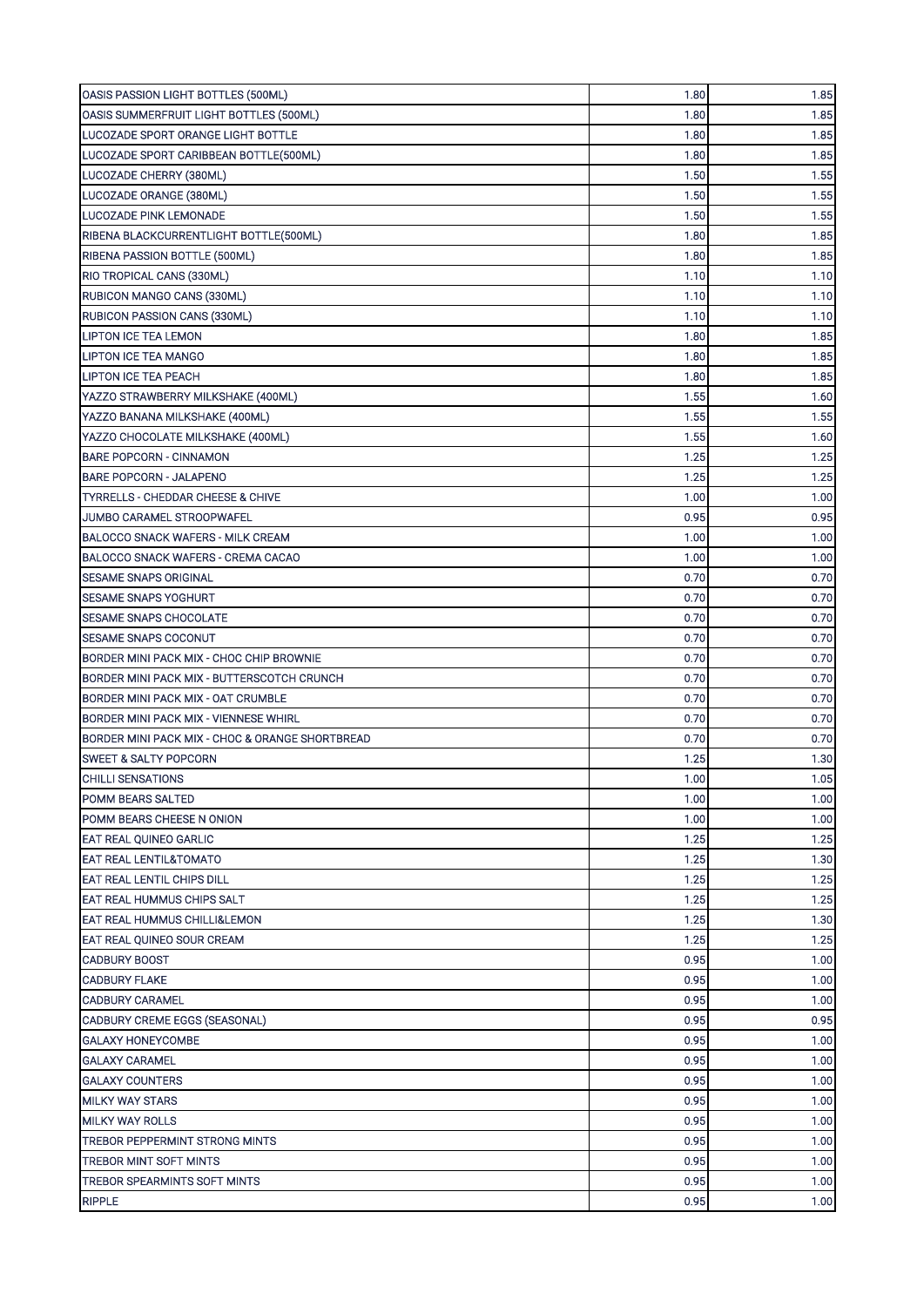| 1.80<br>1.85<br>OASIS SUMMERFRUIT LIGHT BOTTLES (500ML)<br>1.80<br>1.85<br>LUCOZADE SPORT ORANGE LIGHT BOTTLE<br>LUCOZADE SPORT CARIBBEAN BOTTLE(500ML)<br>1.80<br>1.85<br>LUCOZADE CHERRY (380ML)<br>1.55<br>1.50<br>1.50<br>1.55<br>LUCOZADE ORANGE (380ML)<br>LUCOZADE PINK LEMONADE<br>1.50<br>1.55<br>RIBENA BLACKCURRENTLIGHT BOTTLE(500ML)<br>1.80<br>1.85<br>1.80<br>1.85<br>RIBENA PASSION BOTTLE (500ML)<br>1.10<br>1.10<br>1.10<br>RUBICON MANGO CANS (330ML)<br>1.10<br>RUBICON PASSION CANS (330ML)<br>1.10<br>1.10<br>1.80<br><b>LIPTON ICE TEA LEMON</b><br>1.85<br>1.80<br>1.85<br>LIPTON ICE TEA MANGO<br>1.85<br><b>LIPTON ICE TEA PEACH</b><br>1.80<br>YAZZO STRAWBERRY MILKSHAKE (400ML)<br>1.55<br>1.60<br>YAZZO BANANA MILKSHAKE (400ML)<br>1.55<br>1.55<br>1.55<br>1.60<br>YAZZO CHOCOLATE MILKSHAKE (400ML)<br>1.25<br>1.25<br><b>BARE POPCORN - CINNAMON</b><br>1.25<br>1.25<br><b>BARE POPCORN - JALAPENO</b><br>1.00<br>1.00<br><b>TYRRELLS - CHEDDAR CHEESE &amp; CHIVE</b><br>0.95<br>JUMBO CARAMEL STROOPWAFEL<br>0.95<br>BALOCCO SNACK WAFERS - MILK CREAM<br>1.00<br>1.00<br>BALOCCO SNACK WAFERS - CREMA CACAO<br>1.00<br>1.00<br>0.70<br>0.70<br><b>SESAME SNAPS ORIGINAL</b><br><b>SESAME SNAPS YOGHURT</b><br>0.70<br>0.70<br>0.70<br><b>SESAME SNAPS CHOCOLATE</b><br>0.70<br><b>SESAME SNAPS COCONUT</b><br>0.70<br>0.70<br>BORDER MINI PACK MIX - CHOC CHIP BROWNIE<br>0.70<br>0.70<br>BORDER MINI PACK MIX - BUTTERSCOTCH CRUNCH<br>0.70<br>0.70<br>0.70<br>BORDER MINI PACK MIX - OAT CRUMBLE<br>0.70<br>0.70<br>0.70<br>BORDER MINI PACK MIX - VIENNESE WHIRL<br>0.70<br>0.70<br>BORDER MINI PACK MIX - CHOC & ORANGE SHORTBREAD<br>1.25<br>1.30<br><b>SWEET &amp; SALTY POPCORN</b><br>1.05<br>1.00<br>CHILLI SENSATIONS<br>1.00<br>1.00<br><b>POMM BEARS SALTED</b><br>1.00<br>1.00<br>POMM BEARS CHEESE N ONION<br>1.25<br>1.25<br><b>EAT REAL QUINEO GARLIC</b><br><b>EAT REAL LENTIL&amp;TOMATO</b><br>1.25<br>1.30<br>1.25<br>1.25<br>EAT REAL LENTIL CHIPS DILL<br>1.25<br><b>EAT REAL HUMMUS CHIPS SALT</b><br>1.25<br>1.25<br>1.30<br><b>EAT REAL HUMMUS CHILLI&amp;LEMON</b><br>EAT REAL QUINEO SOUR CREAM<br>1.25<br>1.25<br>0.95<br><b>CADBURY BOOST</b><br>1.00<br>0.95<br><b>CADBURY FLAKE</b><br>1.00<br><b>CADBURY CARAMEL</b><br>0.95<br>1.00<br>CADBURY CREME EGGS (SEASONAL)<br>0.95<br>0.95<br>0.95<br>1.00<br><b>GALAXY HONEYCOMBE</b><br>0.95<br>1.00<br><b>GALAXY CARAMEL</b><br>0.95<br>1.00<br><b>GALAXY COUNTERS</b><br>0.95<br>1.00<br><b>MILKY WAY STARS</b><br>0.95<br>1.00<br><b>MILKY WAY ROLLS</b><br>0.95<br>1.00<br>TREBOR PEPPERMINT STRONG MINTS<br>TREBOR MINT SOFT MINTS<br>0.95<br>1.00<br>TREBOR SPEARMINTS SOFT MINTS<br>0.95<br>1.00<br>0.95<br>1.00 | OASIS PASSION LIGHT BOTTLES (500ML) | 1.80 | 1.85 |
|------------------------------------------------------------------------------------------------------------------------------------------------------------------------------------------------------------------------------------------------------------------------------------------------------------------------------------------------------------------------------------------------------------------------------------------------------------------------------------------------------------------------------------------------------------------------------------------------------------------------------------------------------------------------------------------------------------------------------------------------------------------------------------------------------------------------------------------------------------------------------------------------------------------------------------------------------------------------------------------------------------------------------------------------------------------------------------------------------------------------------------------------------------------------------------------------------------------------------------------------------------------------------------------------------------------------------------------------------------------------------------------------------------------------------------------------------------------------------------------------------------------------------------------------------------------------------------------------------------------------------------------------------------------------------------------------------------------------------------------------------------------------------------------------------------------------------------------------------------------------------------------------------------------------------------------------------------------------------------------------------------------------------------------------------------------------------------------------------------------------------------------------------------------------------------------------------------------------------------------------------------------------------------------------------------------------------------------------------------------------------------------------------------------------------------------------------------------------------------------------------------------------------------------------------------------------------------------------------------------------------------------------------------------------------------------------------------------------------------------|-------------------------------------|------|------|
|                                                                                                                                                                                                                                                                                                                                                                                                                                                                                                                                                                                                                                                                                                                                                                                                                                                                                                                                                                                                                                                                                                                                                                                                                                                                                                                                                                                                                                                                                                                                                                                                                                                                                                                                                                                                                                                                                                                                                                                                                                                                                                                                                                                                                                                                                                                                                                                                                                                                                                                                                                                                                                                                                                                                          |                                     |      |      |
|                                                                                                                                                                                                                                                                                                                                                                                                                                                                                                                                                                                                                                                                                                                                                                                                                                                                                                                                                                                                                                                                                                                                                                                                                                                                                                                                                                                                                                                                                                                                                                                                                                                                                                                                                                                                                                                                                                                                                                                                                                                                                                                                                                                                                                                                                                                                                                                                                                                                                                                                                                                                                                                                                                                                          |                                     |      |      |
|                                                                                                                                                                                                                                                                                                                                                                                                                                                                                                                                                                                                                                                                                                                                                                                                                                                                                                                                                                                                                                                                                                                                                                                                                                                                                                                                                                                                                                                                                                                                                                                                                                                                                                                                                                                                                                                                                                                                                                                                                                                                                                                                                                                                                                                                                                                                                                                                                                                                                                                                                                                                                                                                                                                                          |                                     |      |      |
|                                                                                                                                                                                                                                                                                                                                                                                                                                                                                                                                                                                                                                                                                                                                                                                                                                                                                                                                                                                                                                                                                                                                                                                                                                                                                                                                                                                                                                                                                                                                                                                                                                                                                                                                                                                                                                                                                                                                                                                                                                                                                                                                                                                                                                                                                                                                                                                                                                                                                                                                                                                                                                                                                                                                          |                                     |      |      |
|                                                                                                                                                                                                                                                                                                                                                                                                                                                                                                                                                                                                                                                                                                                                                                                                                                                                                                                                                                                                                                                                                                                                                                                                                                                                                                                                                                                                                                                                                                                                                                                                                                                                                                                                                                                                                                                                                                                                                                                                                                                                                                                                                                                                                                                                                                                                                                                                                                                                                                                                                                                                                                                                                                                                          |                                     |      |      |
|                                                                                                                                                                                                                                                                                                                                                                                                                                                                                                                                                                                                                                                                                                                                                                                                                                                                                                                                                                                                                                                                                                                                                                                                                                                                                                                                                                                                                                                                                                                                                                                                                                                                                                                                                                                                                                                                                                                                                                                                                                                                                                                                                                                                                                                                                                                                                                                                                                                                                                                                                                                                                                                                                                                                          |                                     |      |      |
|                                                                                                                                                                                                                                                                                                                                                                                                                                                                                                                                                                                                                                                                                                                                                                                                                                                                                                                                                                                                                                                                                                                                                                                                                                                                                                                                                                                                                                                                                                                                                                                                                                                                                                                                                                                                                                                                                                                                                                                                                                                                                                                                                                                                                                                                                                                                                                                                                                                                                                                                                                                                                                                                                                                                          |                                     |      |      |
|                                                                                                                                                                                                                                                                                                                                                                                                                                                                                                                                                                                                                                                                                                                                                                                                                                                                                                                                                                                                                                                                                                                                                                                                                                                                                                                                                                                                                                                                                                                                                                                                                                                                                                                                                                                                                                                                                                                                                                                                                                                                                                                                                                                                                                                                                                                                                                                                                                                                                                                                                                                                                                                                                                                                          |                                     |      |      |
|                                                                                                                                                                                                                                                                                                                                                                                                                                                                                                                                                                                                                                                                                                                                                                                                                                                                                                                                                                                                                                                                                                                                                                                                                                                                                                                                                                                                                                                                                                                                                                                                                                                                                                                                                                                                                                                                                                                                                                                                                                                                                                                                                                                                                                                                                                                                                                                                                                                                                                                                                                                                                                                                                                                                          | RIO TROPICAL CANS (330ML)           |      |      |
|                                                                                                                                                                                                                                                                                                                                                                                                                                                                                                                                                                                                                                                                                                                                                                                                                                                                                                                                                                                                                                                                                                                                                                                                                                                                                                                                                                                                                                                                                                                                                                                                                                                                                                                                                                                                                                                                                                                                                                                                                                                                                                                                                                                                                                                                                                                                                                                                                                                                                                                                                                                                                                                                                                                                          |                                     |      |      |
|                                                                                                                                                                                                                                                                                                                                                                                                                                                                                                                                                                                                                                                                                                                                                                                                                                                                                                                                                                                                                                                                                                                                                                                                                                                                                                                                                                                                                                                                                                                                                                                                                                                                                                                                                                                                                                                                                                                                                                                                                                                                                                                                                                                                                                                                                                                                                                                                                                                                                                                                                                                                                                                                                                                                          |                                     |      |      |
|                                                                                                                                                                                                                                                                                                                                                                                                                                                                                                                                                                                                                                                                                                                                                                                                                                                                                                                                                                                                                                                                                                                                                                                                                                                                                                                                                                                                                                                                                                                                                                                                                                                                                                                                                                                                                                                                                                                                                                                                                                                                                                                                                                                                                                                                                                                                                                                                                                                                                                                                                                                                                                                                                                                                          |                                     |      |      |
|                                                                                                                                                                                                                                                                                                                                                                                                                                                                                                                                                                                                                                                                                                                                                                                                                                                                                                                                                                                                                                                                                                                                                                                                                                                                                                                                                                                                                                                                                                                                                                                                                                                                                                                                                                                                                                                                                                                                                                                                                                                                                                                                                                                                                                                                                                                                                                                                                                                                                                                                                                                                                                                                                                                                          |                                     |      |      |
|                                                                                                                                                                                                                                                                                                                                                                                                                                                                                                                                                                                                                                                                                                                                                                                                                                                                                                                                                                                                                                                                                                                                                                                                                                                                                                                                                                                                                                                                                                                                                                                                                                                                                                                                                                                                                                                                                                                                                                                                                                                                                                                                                                                                                                                                                                                                                                                                                                                                                                                                                                                                                                                                                                                                          |                                     |      |      |
|                                                                                                                                                                                                                                                                                                                                                                                                                                                                                                                                                                                                                                                                                                                                                                                                                                                                                                                                                                                                                                                                                                                                                                                                                                                                                                                                                                                                                                                                                                                                                                                                                                                                                                                                                                                                                                                                                                                                                                                                                                                                                                                                                                                                                                                                                                                                                                                                                                                                                                                                                                                                                                                                                                                                          |                                     |      |      |
|                                                                                                                                                                                                                                                                                                                                                                                                                                                                                                                                                                                                                                                                                                                                                                                                                                                                                                                                                                                                                                                                                                                                                                                                                                                                                                                                                                                                                                                                                                                                                                                                                                                                                                                                                                                                                                                                                                                                                                                                                                                                                                                                                                                                                                                                                                                                                                                                                                                                                                                                                                                                                                                                                                                                          |                                     |      |      |
|                                                                                                                                                                                                                                                                                                                                                                                                                                                                                                                                                                                                                                                                                                                                                                                                                                                                                                                                                                                                                                                                                                                                                                                                                                                                                                                                                                                                                                                                                                                                                                                                                                                                                                                                                                                                                                                                                                                                                                                                                                                                                                                                                                                                                                                                                                                                                                                                                                                                                                                                                                                                                                                                                                                                          |                                     |      |      |
|                                                                                                                                                                                                                                                                                                                                                                                                                                                                                                                                                                                                                                                                                                                                                                                                                                                                                                                                                                                                                                                                                                                                                                                                                                                                                                                                                                                                                                                                                                                                                                                                                                                                                                                                                                                                                                                                                                                                                                                                                                                                                                                                                                                                                                                                                                                                                                                                                                                                                                                                                                                                                                                                                                                                          |                                     |      |      |
|                                                                                                                                                                                                                                                                                                                                                                                                                                                                                                                                                                                                                                                                                                                                                                                                                                                                                                                                                                                                                                                                                                                                                                                                                                                                                                                                                                                                                                                                                                                                                                                                                                                                                                                                                                                                                                                                                                                                                                                                                                                                                                                                                                                                                                                                                                                                                                                                                                                                                                                                                                                                                                                                                                                                          |                                     |      |      |
|                                                                                                                                                                                                                                                                                                                                                                                                                                                                                                                                                                                                                                                                                                                                                                                                                                                                                                                                                                                                                                                                                                                                                                                                                                                                                                                                                                                                                                                                                                                                                                                                                                                                                                                                                                                                                                                                                                                                                                                                                                                                                                                                                                                                                                                                                                                                                                                                                                                                                                                                                                                                                                                                                                                                          |                                     |      |      |
|                                                                                                                                                                                                                                                                                                                                                                                                                                                                                                                                                                                                                                                                                                                                                                                                                                                                                                                                                                                                                                                                                                                                                                                                                                                                                                                                                                                                                                                                                                                                                                                                                                                                                                                                                                                                                                                                                                                                                                                                                                                                                                                                                                                                                                                                                                                                                                                                                                                                                                                                                                                                                                                                                                                                          |                                     |      |      |
|                                                                                                                                                                                                                                                                                                                                                                                                                                                                                                                                                                                                                                                                                                                                                                                                                                                                                                                                                                                                                                                                                                                                                                                                                                                                                                                                                                                                                                                                                                                                                                                                                                                                                                                                                                                                                                                                                                                                                                                                                                                                                                                                                                                                                                                                                                                                                                                                                                                                                                                                                                                                                                                                                                                                          |                                     |      |      |
|                                                                                                                                                                                                                                                                                                                                                                                                                                                                                                                                                                                                                                                                                                                                                                                                                                                                                                                                                                                                                                                                                                                                                                                                                                                                                                                                                                                                                                                                                                                                                                                                                                                                                                                                                                                                                                                                                                                                                                                                                                                                                                                                                                                                                                                                                                                                                                                                                                                                                                                                                                                                                                                                                                                                          |                                     |      |      |
|                                                                                                                                                                                                                                                                                                                                                                                                                                                                                                                                                                                                                                                                                                                                                                                                                                                                                                                                                                                                                                                                                                                                                                                                                                                                                                                                                                                                                                                                                                                                                                                                                                                                                                                                                                                                                                                                                                                                                                                                                                                                                                                                                                                                                                                                                                                                                                                                                                                                                                                                                                                                                                                                                                                                          |                                     |      |      |
|                                                                                                                                                                                                                                                                                                                                                                                                                                                                                                                                                                                                                                                                                                                                                                                                                                                                                                                                                                                                                                                                                                                                                                                                                                                                                                                                                                                                                                                                                                                                                                                                                                                                                                                                                                                                                                                                                                                                                                                                                                                                                                                                                                                                                                                                                                                                                                                                                                                                                                                                                                                                                                                                                                                                          |                                     |      |      |
|                                                                                                                                                                                                                                                                                                                                                                                                                                                                                                                                                                                                                                                                                                                                                                                                                                                                                                                                                                                                                                                                                                                                                                                                                                                                                                                                                                                                                                                                                                                                                                                                                                                                                                                                                                                                                                                                                                                                                                                                                                                                                                                                                                                                                                                                                                                                                                                                                                                                                                                                                                                                                                                                                                                                          |                                     |      |      |
|                                                                                                                                                                                                                                                                                                                                                                                                                                                                                                                                                                                                                                                                                                                                                                                                                                                                                                                                                                                                                                                                                                                                                                                                                                                                                                                                                                                                                                                                                                                                                                                                                                                                                                                                                                                                                                                                                                                                                                                                                                                                                                                                                                                                                                                                                                                                                                                                                                                                                                                                                                                                                                                                                                                                          |                                     |      |      |
|                                                                                                                                                                                                                                                                                                                                                                                                                                                                                                                                                                                                                                                                                                                                                                                                                                                                                                                                                                                                                                                                                                                                                                                                                                                                                                                                                                                                                                                                                                                                                                                                                                                                                                                                                                                                                                                                                                                                                                                                                                                                                                                                                                                                                                                                                                                                                                                                                                                                                                                                                                                                                                                                                                                                          |                                     |      |      |
|                                                                                                                                                                                                                                                                                                                                                                                                                                                                                                                                                                                                                                                                                                                                                                                                                                                                                                                                                                                                                                                                                                                                                                                                                                                                                                                                                                                                                                                                                                                                                                                                                                                                                                                                                                                                                                                                                                                                                                                                                                                                                                                                                                                                                                                                                                                                                                                                                                                                                                                                                                                                                                                                                                                                          |                                     |      |      |
|                                                                                                                                                                                                                                                                                                                                                                                                                                                                                                                                                                                                                                                                                                                                                                                                                                                                                                                                                                                                                                                                                                                                                                                                                                                                                                                                                                                                                                                                                                                                                                                                                                                                                                                                                                                                                                                                                                                                                                                                                                                                                                                                                                                                                                                                                                                                                                                                                                                                                                                                                                                                                                                                                                                                          |                                     |      |      |
|                                                                                                                                                                                                                                                                                                                                                                                                                                                                                                                                                                                                                                                                                                                                                                                                                                                                                                                                                                                                                                                                                                                                                                                                                                                                                                                                                                                                                                                                                                                                                                                                                                                                                                                                                                                                                                                                                                                                                                                                                                                                                                                                                                                                                                                                                                                                                                                                                                                                                                                                                                                                                                                                                                                                          |                                     |      |      |
|                                                                                                                                                                                                                                                                                                                                                                                                                                                                                                                                                                                                                                                                                                                                                                                                                                                                                                                                                                                                                                                                                                                                                                                                                                                                                                                                                                                                                                                                                                                                                                                                                                                                                                                                                                                                                                                                                                                                                                                                                                                                                                                                                                                                                                                                                                                                                                                                                                                                                                                                                                                                                                                                                                                                          |                                     |      |      |
|                                                                                                                                                                                                                                                                                                                                                                                                                                                                                                                                                                                                                                                                                                                                                                                                                                                                                                                                                                                                                                                                                                                                                                                                                                                                                                                                                                                                                                                                                                                                                                                                                                                                                                                                                                                                                                                                                                                                                                                                                                                                                                                                                                                                                                                                                                                                                                                                                                                                                                                                                                                                                                                                                                                                          |                                     |      |      |
|                                                                                                                                                                                                                                                                                                                                                                                                                                                                                                                                                                                                                                                                                                                                                                                                                                                                                                                                                                                                                                                                                                                                                                                                                                                                                                                                                                                                                                                                                                                                                                                                                                                                                                                                                                                                                                                                                                                                                                                                                                                                                                                                                                                                                                                                                                                                                                                                                                                                                                                                                                                                                                                                                                                                          |                                     |      |      |
|                                                                                                                                                                                                                                                                                                                                                                                                                                                                                                                                                                                                                                                                                                                                                                                                                                                                                                                                                                                                                                                                                                                                                                                                                                                                                                                                                                                                                                                                                                                                                                                                                                                                                                                                                                                                                                                                                                                                                                                                                                                                                                                                                                                                                                                                                                                                                                                                                                                                                                                                                                                                                                                                                                                                          |                                     |      |      |
|                                                                                                                                                                                                                                                                                                                                                                                                                                                                                                                                                                                                                                                                                                                                                                                                                                                                                                                                                                                                                                                                                                                                                                                                                                                                                                                                                                                                                                                                                                                                                                                                                                                                                                                                                                                                                                                                                                                                                                                                                                                                                                                                                                                                                                                                                                                                                                                                                                                                                                                                                                                                                                                                                                                                          |                                     |      |      |
|                                                                                                                                                                                                                                                                                                                                                                                                                                                                                                                                                                                                                                                                                                                                                                                                                                                                                                                                                                                                                                                                                                                                                                                                                                                                                                                                                                                                                                                                                                                                                                                                                                                                                                                                                                                                                                                                                                                                                                                                                                                                                                                                                                                                                                                                                                                                                                                                                                                                                                                                                                                                                                                                                                                                          |                                     |      |      |
|                                                                                                                                                                                                                                                                                                                                                                                                                                                                                                                                                                                                                                                                                                                                                                                                                                                                                                                                                                                                                                                                                                                                                                                                                                                                                                                                                                                                                                                                                                                                                                                                                                                                                                                                                                                                                                                                                                                                                                                                                                                                                                                                                                                                                                                                                                                                                                                                                                                                                                                                                                                                                                                                                                                                          |                                     |      |      |
|                                                                                                                                                                                                                                                                                                                                                                                                                                                                                                                                                                                                                                                                                                                                                                                                                                                                                                                                                                                                                                                                                                                                                                                                                                                                                                                                                                                                                                                                                                                                                                                                                                                                                                                                                                                                                                                                                                                                                                                                                                                                                                                                                                                                                                                                                                                                                                                                                                                                                                                                                                                                                                                                                                                                          |                                     |      |      |
|                                                                                                                                                                                                                                                                                                                                                                                                                                                                                                                                                                                                                                                                                                                                                                                                                                                                                                                                                                                                                                                                                                                                                                                                                                                                                                                                                                                                                                                                                                                                                                                                                                                                                                                                                                                                                                                                                                                                                                                                                                                                                                                                                                                                                                                                                                                                                                                                                                                                                                                                                                                                                                                                                                                                          |                                     |      |      |
|                                                                                                                                                                                                                                                                                                                                                                                                                                                                                                                                                                                                                                                                                                                                                                                                                                                                                                                                                                                                                                                                                                                                                                                                                                                                                                                                                                                                                                                                                                                                                                                                                                                                                                                                                                                                                                                                                                                                                                                                                                                                                                                                                                                                                                                                                                                                                                                                                                                                                                                                                                                                                                                                                                                                          |                                     |      |      |
|                                                                                                                                                                                                                                                                                                                                                                                                                                                                                                                                                                                                                                                                                                                                                                                                                                                                                                                                                                                                                                                                                                                                                                                                                                                                                                                                                                                                                                                                                                                                                                                                                                                                                                                                                                                                                                                                                                                                                                                                                                                                                                                                                                                                                                                                                                                                                                                                                                                                                                                                                                                                                                                                                                                                          |                                     |      |      |
|                                                                                                                                                                                                                                                                                                                                                                                                                                                                                                                                                                                                                                                                                                                                                                                                                                                                                                                                                                                                                                                                                                                                                                                                                                                                                                                                                                                                                                                                                                                                                                                                                                                                                                                                                                                                                                                                                                                                                                                                                                                                                                                                                                                                                                                                                                                                                                                                                                                                                                                                                                                                                                                                                                                                          |                                     |      |      |
|                                                                                                                                                                                                                                                                                                                                                                                                                                                                                                                                                                                                                                                                                                                                                                                                                                                                                                                                                                                                                                                                                                                                                                                                                                                                                                                                                                                                                                                                                                                                                                                                                                                                                                                                                                                                                                                                                                                                                                                                                                                                                                                                                                                                                                                                                                                                                                                                                                                                                                                                                                                                                                                                                                                                          |                                     |      |      |
|                                                                                                                                                                                                                                                                                                                                                                                                                                                                                                                                                                                                                                                                                                                                                                                                                                                                                                                                                                                                                                                                                                                                                                                                                                                                                                                                                                                                                                                                                                                                                                                                                                                                                                                                                                                                                                                                                                                                                                                                                                                                                                                                                                                                                                                                                                                                                                                                                                                                                                                                                                                                                                                                                                                                          |                                     |      |      |
|                                                                                                                                                                                                                                                                                                                                                                                                                                                                                                                                                                                                                                                                                                                                                                                                                                                                                                                                                                                                                                                                                                                                                                                                                                                                                                                                                                                                                                                                                                                                                                                                                                                                                                                                                                                                                                                                                                                                                                                                                                                                                                                                                                                                                                                                                                                                                                                                                                                                                                                                                                                                                                                                                                                                          |                                     |      |      |
|                                                                                                                                                                                                                                                                                                                                                                                                                                                                                                                                                                                                                                                                                                                                                                                                                                                                                                                                                                                                                                                                                                                                                                                                                                                                                                                                                                                                                                                                                                                                                                                                                                                                                                                                                                                                                                                                                                                                                                                                                                                                                                                                                                                                                                                                                                                                                                                                                                                                                                                                                                                                                                                                                                                                          |                                     |      |      |
|                                                                                                                                                                                                                                                                                                                                                                                                                                                                                                                                                                                                                                                                                                                                                                                                                                                                                                                                                                                                                                                                                                                                                                                                                                                                                                                                                                                                                                                                                                                                                                                                                                                                                                                                                                                                                                                                                                                                                                                                                                                                                                                                                                                                                                                                                                                                                                                                                                                                                                                                                                                                                                                                                                                                          |                                     |      |      |
|                                                                                                                                                                                                                                                                                                                                                                                                                                                                                                                                                                                                                                                                                                                                                                                                                                                                                                                                                                                                                                                                                                                                                                                                                                                                                                                                                                                                                                                                                                                                                                                                                                                                                                                                                                                                                                                                                                                                                                                                                                                                                                                                                                                                                                                                                                                                                                                                                                                                                                                                                                                                                                                                                                                                          |                                     |      |      |
|                                                                                                                                                                                                                                                                                                                                                                                                                                                                                                                                                                                                                                                                                                                                                                                                                                                                                                                                                                                                                                                                                                                                                                                                                                                                                                                                                                                                                                                                                                                                                                                                                                                                                                                                                                                                                                                                                                                                                                                                                                                                                                                                                                                                                                                                                                                                                                                                                                                                                                                                                                                                                                                                                                                                          |                                     |      |      |
|                                                                                                                                                                                                                                                                                                                                                                                                                                                                                                                                                                                                                                                                                                                                                                                                                                                                                                                                                                                                                                                                                                                                                                                                                                                                                                                                                                                                                                                                                                                                                                                                                                                                                                                                                                                                                                                                                                                                                                                                                                                                                                                                                                                                                                                                                                                                                                                                                                                                                                                                                                                                                                                                                                                                          |                                     |      |      |
|                                                                                                                                                                                                                                                                                                                                                                                                                                                                                                                                                                                                                                                                                                                                                                                                                                                                                                                                                                                                                                                                                                                                                                                                                                                                                                                                                                                                                                                                                                                                                                                                                                                                                                                                                                                                                                                                                                                                                                                                                                                                                                                                                                                                                                                                                                                                                                                                                                                                                                                                                                                                                                                                                                                                          |                                     |      |      |
|                                                                                                                                                                                                                                                                                                                                                                                                                                                                                                                                                                                                                                                                                                                                                                                                                                                                                                                                                                                                                                                                                                                                                                                                                                                                                                                                                                                                                                                                                                                                                                                                                                                                                                                                                                                                                                                                                                                                                                                                                                                                                                                                                                                                                                                                                                                                                                                                                                                                                                                                                                                                                                                                                                                                          |                                     |      |      |
|                                                                                                                                                                                                                                                                                                                                                                                                                                                                                                                                                                                                                                                                                                                                                                                                                                                                                                                                                                                                                                                                                                                                                                                                                                                                                                                                                                                                                                                                                                                                                                                                                                                                                                                                                                                                                                                                                                                                                                                                                                                                                                                                                                                                                                                                                                                                                                                                                                                                                                                                                                                                                                                                                                                                          |                                     |      |      |
|                                                                                                                                                                                                                                                                                                                                                                                                                                                                                                                                                                                                                                                                                                                                                                                                                                                                                                                                                                                                                                                                                                                                                                                                                                                                                                                                                                                                                                                                                                                                                                                                                                                                                                                                                                                                                                                                                                                                                                                                                                                                                                                                                                                                                                                                                                                                                                                                                                                                                                                                                                                                                                                                                                                                          | <b>RIPPLE</b>                       |      |      |